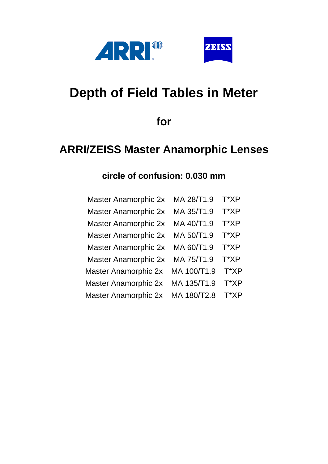



# **Depth of Field Tables in Meter**

**for**

## **ARRI/ZEISS Master Anamorphic Lenses**

#### **circle of confusion: 0.030 mm**

| <b>Master Anamorphic 2x</b> | MA 28/T1.9  | T*XP |
|-----------------------------|-------------|------|
| <b>Master Anamorphic 2x</b> | MA 35/T1.9  | T*XP |
| <b>Master Anamorphic 2x</b> | MA 40/T1.9  | T*XP |
| <b>Master Anamorphic 2x</b> | MA 50/T1.9  | T*XP |
| <b>Master Anamorphic 2x</b> | MA 60/T1.9  | T*XP |
| <b>Master Anamorphic 2x</b> | MA 75/T1.9  | T*XP |
| <b>Master Anamorphic 2x</b> | MA 100/T1.9 | T*XP |
| <b>Master Anamorphic 2x</b> | MA 135/T1.9 | T*XP |
| <b>Master Anamorphic 2x</b> | MA 180/T2.8 | T*XP |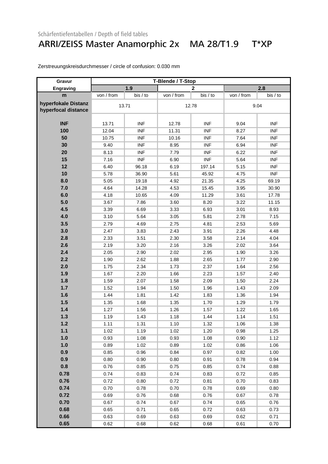#### ARRI/ZEISS Master Anamorphic 2x MA 28/T1.9 T\*XP

| Gravur              | T-Blende / T-Stop |            |            |              |            |            |  |
|---------------------|-------------------|------------|------------|--------------|------------|------------|--|
| Engraving           |                   | 1.9        |            | $\mathbf{2}$ |            | 2.8        |  |
| m                   | von / from        | bis / to   | von / from | bis / to     | von / from | bis / to   |  |
| hyperfokale Distanz |                   | 13.71      |            |              | 9.04       |            |  |
| hyperfocal distance |                   |            |            | 12.78        |            |            |  |
|                     |                   |            |            |              |            |            |  |
| <b>INF</b>          | 13.71             | <b>INF</b> | 12.78      | <b>INF</b>   | 9.04       | <b>INF</b> |  |
| 100                 | 12.04             | <b>INF</b> | 11.31      | <b>INF</b>   | 8.27       | <b>INF</b> |  |
| 50                  | 10.75             | <b>INF</b> | 10.16      | <b>INF</b>   | 7.64       | <b>INF</b> |  |
| 30                  | 9.40              | <b>INF</b> | 8.95       | <b>INF</b>   | 6.94       | <b>INF</b> |  |
| 20                  | 8.13              | <b>INF</b> | 7.79       | <b>INF</b>   | 6.22       | <b>INF</b> |  |
| 15                  | 7.16              | <b>INF</b> | 6.90       | <b>INF</b>   | 5.64       | <b>INF</b> |  |
| 12                  | 6.40              | 96.18      | 6.19       | 197.14       | 5.15       | <b>INF</b> |  |
| 10                  | 5.78              | 36.90      | 5.61       | 45.92        | 4.75       | <b>INF</b> |  |
| 8.0                 | 5.05              | 19.18      | 4.92       | 21.35        | 4.25       | 69.19      |  |
| 7.0                 | 4.64              | 14.28      | 4.53       | 15.45        | 3.95       | 30.90      |  |
| 6.0                 | 4.18              | 10.65      | 4.09       | 11.29        | 3.61       | 17.78      |  |
| 5.0                 | 3.67              | 7.86       | 3.60       | 8.20         | 3.22       | 11.15      |  |
| 4.5                 | 3.39              | 6.69       | 3.33       | 6.93         | 3.01       | 8.93       |  |
| 4.0                 | 3.10              | 5.64       | 3.05       | 5.81         | 2.78       | 7.15       |  |
| 3.5                 | 2.79              | 4.69       | 2.75       | 4.81         | 2.53       | 5.69       |  |
| 3.0                 | 2.47              | 3.83       | 2.43       | 3.91         | 2.26       | 4.48       |  |
| 2.8                 | 2.33              | 3.51       | 2.30       | 3.58         | 2.14       | 4.04       |  |
| 2.6                 | 2.19              | 3.20       | 2.16       | 3.26         | 2.02       | 3.64       |  |
| 2.4                 | 2.05              | 2.90       | 2.02       | 2.95         | 1.90       | 3.26       |  |
| 2.2                 | 1.90              | 2.62       | 1.88       | 2.65         | 1.77       | 2.90       |  |
| 2.0                 | 1.75              | 2.34       | 1.73       | 2.37         | 1.64       | 2.56       |  |
| 1.9                 | 1.67              | 2.20       | 1.66       | 2.23         | 1.57       | 2.40       |  |
| 1.8                 | 1.59              | 2.07       | 1.58       | 2.09         | 1.50       | 2.24       |  |
| 1.7                 | 1.52              | 1.94       | 1.50       | 1.96         | 1.43       | 2.09       |  |
| 1.6                 | 1.44              | 1.81       | 1.42       | 1.83         | 1.36       | 1.94       |  |
| 1.5                 | 1.35              | 1.68       | 1.35       | 1.70         | 1.29       | 1.79       |  |
| 1.4                 | 1.27              | 1.56       | 1.26       | 1.57         | 1.22       | 1.65       |  |
| 1.3                 | 1.19              | 1.43       | 1.18       | 1.44         | 1.14       | 1.51       |  |
| 1.2                 | 1.11              | 1.31       | 1.10       | 1.32         | 1.06       | 1.38       |  |
| $1.1$               | 1.02              | 1.19       | 1.02       | 1.20         | 0.98       | 1.25       |  |
| 1.0                 | 0.93              | 1.08       | 0.93       | 1.08         | 0.90       | 1.12       |  |
| 1.0                 | 0.89              | 1.02       | 0.89       | 1.02         | 0.86       | 1.06       |  |
| 0.9                 | 0.85              | 0.96       | 0.84       | 0.97         | 0.82       | 1.00       |  |
| 0.9                 | 0.80              | 0.90       | 0.80       | 0.91         | 0.78       | 0.94       |  |
| 0.8                 | 0.76              | 0.85       | 0.75       | 0.85         | 0.74       | 0.88       |  |
| 0.78                | 0.74              | 0.83       | 0.74       | 0.83         | 0.72       | 0.85       |  |
| 0.76                | 0.72              | 0.80       | 0.72       | 0.81         | 0.70       | 0.83       |  |
| 0.74                | 0.70              | 0.78       | 0.70       | 0.78         | 0.69       | 0.80       |  |
| 0.72                | 0.69              | 0.76       | 0.68       | 0.76         | 0.67       | 0.78       |  |
| 0.70                | 0.67              | 0.74       | 0.67       | 0.74         | 0.65       | 0.76       |  |
| 0.68                | 0.65              | 0.71       | 0.65       | 0.72         | 0.63       | 0.73       |  |
| 0.66                | 0.63              | 0.69       | 0.63       | 0.69         | 0.62       | 0.71       |  |
| 0.65                | 0.62              | 0.68       | 0.62       | 0.68         | 0.61       | 0.70       |  |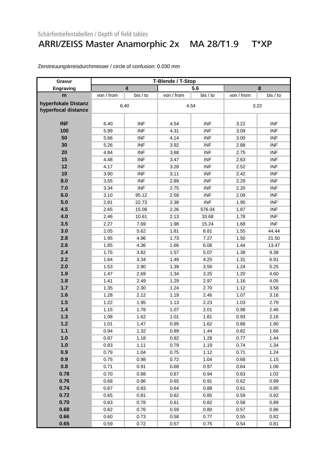### ARRI/ZEISS Master Anamorphic 2x MA 28/T1.9 T\*XP

| Gravur              |            | T-Blende / T-Stop       |            |            |            |            |  |
|---------------------|------------|-------------------------|------------|------------|------------|------------|--|
| Engraving           |            | $\overline{\mathbf{4}}$ | 5.6        |            |            | 8          |  |
| m                   | von / from | bis / to                | von / from | bis / to   | von / from | bis / to   |  |
| hyperfokale Distanz |            | 6.40                    |            |            |            | 3.22       |  |
| hyperfocal distance |            |                         |            | 4.54       |            |            |  |
|                     |            |                         |            |            |            |            |  |
| <b>INF</b>          | 6.40       | <b>INF</b>              | 4.54       | <b>INF</b> | 3.22       | <b>INF</b> |  |
| 100                 | 5.99       | <b>INF</b>              | 4.31       | <b>INF</b> | 3.09       | <b>INF</b> |  |
| 50                  | 5.66       | <b>INF</b>              | 4.14       | <b>INF</b> | 3.00       | <b>INF</b> |  |
| 30                  | 5.26       | <b>INF</b>              | 3.92       | <b>INF</b> | 2.88       | <b>INF</b> |  |
| 20                  | 4.84       | <b>INF</b>              | 3.68       | <b>INF</b> | 2.75       | <b>INF</b> |  |
| 15                  | 4.48       | <b>INF</b>              | 3.47       | <b>INF</b> | 2.63       | <b>INF</b> |  |
| 12                  | 4.17       | <b>INF</b>              | 3.28       | <b>INF</b> | 2.52       | <b>INF</b> |  |
| 10                  | 3.90       | <b>INF</b>              | 3.11       | <b>INF</b> | 2.42       | <b>INF</b> |  |
| 8.0                 | 3.55       | <b>INF</b>              | 2.89       | <b>INF</b> | 2.29       | <b>INF</b> |  |
| 7.0                 | 3.34       | <b>INF</b>              | 2.75       | <b>INF</b> | 2.20       | <b>INF</b> |  |
| 6.0                 | 3.10       | 95.12                   | 2.58       | <b>INF</b> | 2.09       | <b>INF</b> |  |
| 5.0                 | 2.81       | 22.73                   | 2.38       | <b>INF</b> | 1.95       | <b>INF</b> |  |
| 4.5                 | 2.65       | 15.08                   | 2.26       | 576.04     | 1.87       | <b>INF</b> |  |
| 4.0                 | 2.46       | 10.61                   | 2.13       | 33.68      | 1.78       | <b>INF</b> |  |
| 3.5                 | 2.27       | 7.69                    | 1.98       | 15.24      | 1.68       | <b>INF</b> |  |
| 3.0                 | 2.05       | 5.62                    | 1.81       | 8.81       | 1.55       | 44.44      |  |
| 2.8                 | 1.95       | 4.96                    | 1.73       | 7.27       | 1.50       | 21.50      |  |
| 2.6                 | 1.85       | 4.36                    | 1.66       | 6.06       | 1.44       | 13.47      |  |
| 2.4                 | 1.75       | 3.82                    | 1.57       | 5.07       | 1.38       | 9.38       |  |
| 2.2                 | 1.64       | 3.34                    | 1.49       | 4.25       | 1.31       | 6.91       |  |
| 2.0                 | 1.53       | 2.90                    | 1.39       | 3.56       | 1.24       | 5.25       |  |
| 1.9                 | 1.47       | 2.69                    | 1.34       | 3.25       | 1.20       | 4.60       |  |
| 1.8                 | 1.41       | 2.49                    | 1.29       | 2.97       | 1.16       | 4.05       |  |
| 1.7                 | 1.35       | 2.30                    | 1.24       | 2.70       | 1.12       | 3.58       |  |
| 1.6                 | 1.28       | 2.12                    | 1.19       | 2.46       | 1.07       | 3.16       |  |
| 1.5                 | 1.22       | 1.95                    | 1.13       | 2.23       | 1.03       | 2.79       |  |
| 1.4                 | 1.15       | 1.78                    | 1.07       | 2.01       | 0.98       | 2.46       |  |
| 1.3                 | 1.08       | 1.62                    | 1.01       | 1.81       | 0.93       | 2.16       |  |
| 1.2                 | 1.01       | 1.47                    | 0.95       | 1.62       | 0.88       | 1.90       |  |
| $1.1$               | 0.94       | 1.32                    | 0.89       | 1.44       | 0.82       | 1.66       |  |
| 1.0                 | 0.87       | 1.18                    | 0.82       | 1.28       | 0.77       | 1.44       |  |
| 1.0                 | 0.83       | 1.11                    | 0.79       | 1.19       | 0.74       | 1.34       |  |
| 0.9                 | 0.79       | 1.04                    | 0.75       | 1.12       | 0.71       | 1.24       |  |
| 0.9                 | 0.75       | 0.98                    | 0.72       | 1.04       | 0.68       | 1.15       |  |
| 0.8                 | 0.71       | 0.91                    | 0.68       | 0.97       | 0.64       | 1.06       |  |
| 0.78                | 0.70       | 0.88                    | 0.67       | 0.94       | 0.63       | 1.02       |  |
| 0.76                | 0.68       | 0.86                    | 0.65       | 0.91       | 0.62       | 0.99       |  |
| 0.74                | 0.67       | 0.83                    | 0.64       | 0.88       | 0.61       | 0.95       |  |
| 0.72                | 0.65       | 0.81                    | 0.62       | 0.85       | 0.59       | 0.92       |  |
| 0.70                | 0.63       | 0.78                    | 0.61       | 0.82       | 0.58       | 0.89       |  |
| 0.68                | 0.62       | 0.76                    | 0.59       | 0.80       | 0.57       | 0.86       |  |
| 0.66                | 0.60       | 0.73                    | 0.58       | 0.77       | 0.55       | 0.82       |  |
| 0.65                | 0.59       | 0.72                    | 0.57       | 0.75       | 0.54       | 0.81       |  |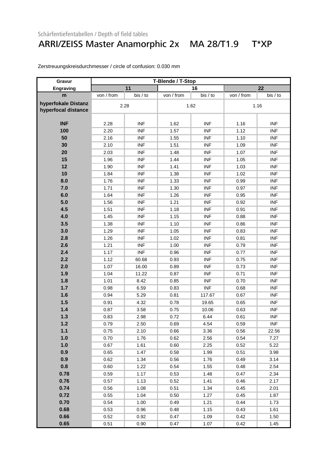### ARRI/ZEISS Master Anamorphic 2x MA 28/T1.9 T\*XP

| Gravur              | T-Blende / T-Stop |            |            |            |            |            |
|---------------------|-------------------|------------|------------|------------|------------|------------|
| <b>Engraving</b>    |                   | 11         |            | 16         |            | 22         |
| m                   | von / from        | bis / to   | von / from | bis / to   | von / from | bis / to   |
| hyperfokale Distanz |                   | 2.28       |            |            |            | 1.16       |
| hyperfocal distance |                   |            | 1.62       |            |            |            |
|                     |                   |            |            |            |            |            |
| <b>INF</b>          | 2.28              | <b>INF</b> | 1.62       | <b>INF</b> | 1.16       | <b>INF</b> |
| 100                 | 2.20              | <b>INF</b> | 1.57       | <b>INF</b> | 1.12       | <b>INF</b> |
| 50                  | 2.16              | <b>INF</b> | 1.55       | <b>INF</b> | 1.10       | <b>INF</b> |
| 30                  | 2.10              | <b>INF</b> | 1.51       | <b>INF</b> | 1.09       | <b>INF</b> |
| 20                  | 2.03              | <b>INF</b> | 1.48       | <b>INF</b> | 1.07       | <b>INF</b> |
| 15                  | 1.96              | <b>INF</b> | 1.44       | <b>INF</b> | 1.05       | <b>INF</b> |
| 12                  | 1.90              | <b>INF</b> | 1.41       | <b>INF</b> | 1.03       | <b>INF</b> |
| 10                  | 1.84              | <b>INF</b> | 1.38       | <b>INF</b> | 1.02       | <b>INF</b> |
| 8.0                 | 1.76              | <b>INF</b> | 1.33       | <b>INF</b> | 0.99       | <b>INF</b> |
| 7.0                 | 1.71              | <b>INF</b> | 1.30       | <b>INF</b> | 0.97       | <b>INF</b> |
| 6.0                 | 1.64              | <b>INF</b> | 1.26       | <b>INF</b> | 0.95       | <b>INF</b> |
| 5.0                 | 1.56              | <b>INF</b> | 1.21       | <b>INF</b> | 0.92       | <b>INF</b> |
| 4.5                 | 1.51              | <b>INF</b> | 1.18       | <b>INF</b> | 0.91       | <b>INF</b> |
| 4.0                 | 1.45              | <b>INF</b> | 1.15       | <b>INF</b> | 0.88       | <b>INF</b> |
| 3.5                 | 1.38              | <b>INF</b> | 1.10       | <b>INF</b> | 0.86       | <b>INF</b> |
| 3.0                 | 1.29              | <b>INF</b> | 1.05       | <b>INF</b> | 0.83       | <b>INF</b> |
| 2.8                 | 1.26              | <b>INF</b> | 1.02       | <b>INF</b> | 0.81       | <b>INF</b> |
| 2.6                 | 1.21              | <b>INF</b> | 1.00       | <b>INF</b> | 0.79       | <b>INF</b> |
| 2.4                 | 1.17              | <b>INF</b> | 0.96       | <b>INF</b> | 0.77       | <b>INF</b> |
| 2.2                 | 1.12              | 60.68      | 0.93       | <b>INF</b> | 0.75       | <b>INF</b> |
| 2.0                 | 1.07              | 16.00      | 0.89       | <b>INF</b> | 0.73       | <b>INF</b> |
| 1.9                 | 1.04              | 11.22      | 0.87       | <b>INF</b> | 0.71       | <b>INF</b> |
| 1.8                 | 1.01              | 8.42       | 0.85       | <b>INF</b> | 0.70       | <b>INF</b> |
| 1.7                 | 0.98              | 6.59       | 0.83       | <b>INF</b> | 0.68       | <b>INF</b> |
| 1.6                 | 0.94              | 5.29       | 0.81       | 117.67     | 0.67       | <b>INF</b> |
| 1.5                 | 0.91              | 4.32       | 0.78       | 19.65      | 0.65       | <b>INF</b> |
| 1.4                 | 0.87              | 3.58       | 0.75       | 10.06      | 0.63       | <b>INF</b> |
| 1.3                 | 0.83              | 2.98       | 0.72       | 6.44       | 0.61       | <b>INF</b> |
| 1.2                 | 0.79              | 2.50       | 0.69       | 4.54       | 0.59       | <b>INF</b> |
| $1.1$               | 0.75              | 2.10       | 0.66       | 3.36       | 0.56       | 22.56      |
| 1.0                 | 0.70              | 1.76       | 0.62       | 2.56       | 0.54       | 7.27       |
| 1.0                 | 0.67              | 1.61       | 0.60       | 2.25       | 0.52       | 5.22       |
| 0.9                 | 0.65              | 1.47       | 0.58       | 1.99       | 0.51       | 3.98       |
| 0.9                 | 0.62              | 1.34       | 0.56       | 1.76       | 0.49       | 3.14       |
| 0.8                 | 0.60              | 1.22       | 0.54       | 1.55       | 0.48       | 2.54       |
| 0.78                | 0.59              | 1.17       | 0.53       | 1.48       | 0.47       | 2.34       |
| 0.76                | 0.57              | 1.13       | 0.52       | 1.41       | 0.46       | 2.17       |
| 0.74                | 0.56              | 1.08       | 0.51       | 1.34       | 0.45       | 2.01       |
| 0.72                | 0.55              | 1.04       | 0.50       | 1.27       | 0.45       | 1.87       |
| 0.70                | 0.54              | 1.00       | 0.49       | 1.21       | 0.44       | 1.73       |
| 0.68                | 0.53              | 0.96       | 0.48       | 1.15       | 0.43       | 1.61       |
| 0.66                | 0.52              | 0.92       | 0.47       | 1.09       | 0.42       | 1.50       |
| 0.65                | 0.51              | 0.90       | 0.47       | 1.07       | 0.42       | 1.45       |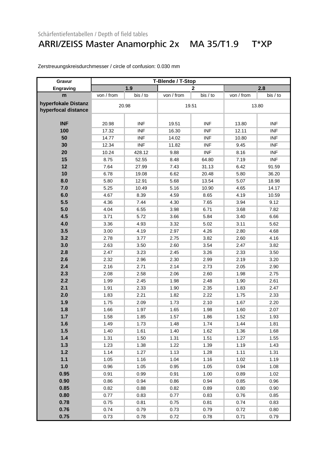#### ARRI/ZEISS Master Anamorphic 2x MA 35/T1.9 T\*XP

| Gravur              | T-Blende / T-Stop |            |            |                |            |            |
|---------------------|-------------------|------------|------------|----------------|------------|------------|
| Engraving           |                   | 1.9        |            | $\overline{2}$ |            | 2.8        |
| m                   | von / from        | bis / to   | von / from | bis / to       | von / from | bis / to   |
| hyperfokale Distanz | 20.98             |            | 19.51      |                | 13.80      |            |
| hyperfocal distance |                   |            |            |                |            |            |
|                     |                   |            |            |                |            |            |
| <b>INF</b>          | 20.98             | <b>INF</b> | 19.51      | <b>INF</b>     | 13.80      | <b>INF</b> |
| 100                 | 17.32             | <b>INF</b> | 16.30      | <b>INF</b>     | 12.11      | <b>INF</b> |
| 50                  | 14.77             | <b>INF</b> | 14.02      | <b>INF</b>     | 10.80      | <b>INF</b> |
| 30                  | 12.34             | <b>INF</b> | 11.82      | <b>INF</b>     | 9.45       | <b>INF</b> |
| 20                  | 10.24             | 428.12     | 9.88       | <b>INF</b>     | 8.16       | <b>INF</b> |
| 15                  | 8.75              | 52.55      | 8.48       | 64.80          | 7.19       | <b>INF</b> |
| 12                  | 7.64              | 27.99      | 7.43       | 31.13          | 6.42       | 91.59      |
| 10                  | 6.78              | 19.08      | 6.62       | 20.48          | 5.80       | 36.20      |
| 8.0                 | 5.80              | 12.91      | 5.68       | 13.54          | 5.07       | 18.98      |
| 7.0                 | 5.25              | 10.49      | 5.16       | 10.90          | 4.65       | 14.17      |
| 6.0                 | 4.67              | 8.39       | 4.59       | 8.65           | 4.19       | 10.59      |
| 5.5                 | 4.36              | 7.44       | 4.30       | 7.65           | 3.94       | 9.12       |
| 5.0                 | 4.04              | 6.55       | 3.98       | 6.71           | 3.68       | 7.82       |
| 4.5                 | 3.71              | 5.72       | 3.66       | 5.84           | 3.40       | 6.66       |
| 4.0                 | 3.36              | 4.93       | 3.32       | 5.02           | 3.11       | 5.62       |
| 3.5                 | 3.00              | 4.19       | 2.97       | 4.26           | 2.80       | 4.68       |
| 3.2                 | 2.78              | 3.77       | 2.75       | 3.82           | 2.60       | 4.16       |
| 3.0                 | 2.63              | 3.50       | 2.60       | 3.54           | 2.47       | 3.82       |
| 2.8                 | 2.47              | 3.23       | 2.45       | 3.26           | 2.33       | 3.50       |
| 2.6                 | 2.32              | 2.96       | 2.30       | 2.99           | 2.19       | 3.20       |
| 2.4                 | 2.16              | 2.71       | 2.14       | 2.73           | 2.05       | 2.90       |
| 2.3                 | 2.08              | 2.58       | 2.06       | 2.60           | 1.98       | 2.75       |
| 2.2                 | 1.99              | 2.45       | 1.98       | 2.48           | 1.90       | 2.61       |
| 2.1                 | 1.91              | 2.33       | 1.90       | 2.35           | 1.83       | 2.47       |
| 2.0                 | 1.83              | 2.21       | 1.82       | 2.22           | 1.75       | 2.33       |
| 1.9                 | 1.75              | 2.09       | 1.73       | 2.10           | 1.67       | 2.20       |
| 1.8                 | 1.66              | 1.97       | 1.65       | 1.98           | 1.60       | 2.07       |
| 1.7                 | 1.58              | 1.85       | 1.57       | 1.86           | 1.52       | 1.93       |
| 1.6                 | 1.49              | 1.73       | 1.48       | 1.74           | 1.44       | 1.81       |
| 1.5                 | 1.40              | 1.61       | 1.40       | 1.62           | 1.36       | 1.68       |
| 1.4                 | 1.31              | 1.50       | 1.31       | 1.51           | 1.27       | 1.55       |
| 1.3                 | 1.23              | 1.38       | 1.22       | 1.39           | 1.19       | 1.43       |
| $1.2$               | 1.14              | 1.27       | 1.13       | 1.28           | 1.11       | 1.31       |
| $1.1$               | 1.05              | 1.16       | 1.04       | 1.16           | 1.02       | 1.19       |
| 1.0                 | 0.96              | 1.05       | 0.95       | 1.05           | 0.94       | 1.08       |
| 0.95                | 0.91              | 0.99       | 0.91       | 1.00           | 0.89       | 1.02       |
| 0.90                | 0.86              | 0.94       | 0.86       | 0.94           | 0.85       | 0.96       |
| 0.85                | 0.82              | 0.88       | 0.82       | 0.89           | 0.80       | 0.90       |
| 0.80                | 0.77              | 0.83       | 0.77       | 0.83           | 0.76       | 0.85       |
| 0.78                | 0.75              | 0.81       | 0.75       | 0.81           | 0.74       | 0.83       |
| 0.76                | 0.74              | 0.79       | 0.73       | 0.79           | 0.72       | 0.80       |
| 0.75                | 0.73              | 0.78       | 0.72       | 0.78           | 0.71       | 0.79       |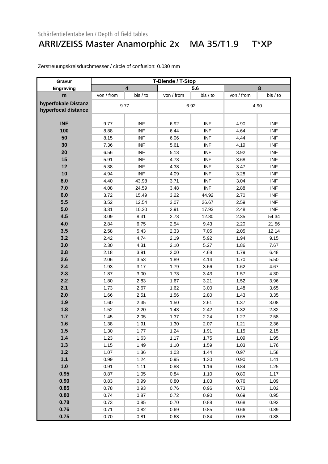### ARRI/ZEISS Master Anamorphic 2x MA 35/T1.9 T\*XP

| Gravur              | T-Blende / T-Stop |                         |            |            |            |            |
|---------------------|-------------------|-------------------------|------------|------------|------------|------------|
| Engraving           |                   | $\overline{\mathbf{4}}$ |            | 5.6        |            | 8          |
| m                   | von / from        | bis / to                | von / from | bis / to   | von / from | bis / to   |
| hyperfokale Distanz | 9.77              |                         |            |            | 4.90       |            |
| hyperfocal distance |                   |                         | 6.92       |            |            |            |
|                     |                   |                         |            |            |            |            |
| <b>INF</b>          | 9.77              | <b>INF</b>              | 6.92       | <b>INF</b> | 4.90       | <b>INF</b> |
| 100                 | 8.88              | <b>INF</b>              | 6.44       | <b>INF</b> | 4.64       | <b>INF</b> |
| 50                  | 8.15              | <b>INF</b>              | 6.06       | <b>INF</b> | 4.44       | <b>INF</b> |
| 30                  | 7.36              | <b>INF</b>              | 5.61       | <b>INF</b> | 4.19       | <b>INF</b> |
| 20                  | 6.56              | <b>INF</b>              | 5.13       | <b>INF</b> | 3.92       | <b>INF</b> |
| 15                  | 5.91              | <b>INF</b>              | 4.73       | <b>INF</b> | 3.68       | <b>INF</b> |
| 12                  | 5.38              | <b>INF</b>              | 4.38       | <b>INF</b> | 3.47       | <b>INF</b> |
| 10                  | 4.94              | <b>INF</b>              | 4.09       | <b>INF</b> | 3.28       | <b>INF</b> |
| 8.0                 | 4.40              | 43.98                   | 3.71       | <b>INF</b> | 3.04       | <b>INF</b> |
| 7.0                 | 4.08              | 24.59                   | 3.48       | <b>INF</b> | 2.88       | <b>INF</b> |
| 6.0                 | 3.72              | 15.49                   | 3.22       | 44.92      | 2.70       | <b>INF</b> |
| 5.5                 | 3.52              | 12.54                   | 3.07       | 26.67      | 2.59       | <b>INF</b> |
| 5.0                 | 3.31              | 10.20                   | 2.91       | 17.93      | 2.48       | <b>INF</b> |
| 4.5                 | 3.09              | 8.31                    | 2.73       | 12.80      | 2.35       | 54.34      |
| 4.0                 | 2.84              | 6.75                    | 2.54       | 9.43       | 2.20       | 21.56      |
| 3.5                 | 2.58              | 5.43                    | 2.33       | 7.05       | 2.05       | 12.14      |
| 3.2                 | 2.42              | 4.74                    | 2.19       | 5.92       | 1.94       | 9.15       |
| 3.0                 | 2.30              | 4.31                    | 2.10       | 5.27       | 1.86       | 7.67       |
| 2.8                 | 2.18              | 3.91                    | 2.00       | 4.68       | 1.79       | 6.48       |
| 2.6                 | 2.06              | 3.53                    | 1.89       | 4.14       | 1.70       | 5.50       |
| 2.4                 | 1.93              | 3.17                    | 1.79       | 3.66       | 1.62       | 4.67       |
| 2.3                 | 1.87              | 3.00                    | 1.73       | 3.43       | 1.57       | 4.30       |
| 2.2                 | 1.80              | 2.83                    | 1.67       | 3.21       | 1.52       | 3.96       |
| 2.1                 | 1.73              | 2.67                    | 1.62       | 3.00       | 1.48       | 3.65       |
| 2.0                 | 1.66              | 2.51                    | 1.56       | 2.80       | 1.43       | 3.35       |
| 1.9                 | 1.60              | 2.35                    | 1.50       | 2.61       | 1.37       | 3.08       |
| 1.8                 | 1.52              | 2.20                    | 1.43       | 2.42       | 1.32       | 2.82       |
| 1.7                 | 1.45              | 2.05                    | 1.37       | 2.24       | 1.27       | 2.58       |
| 1.6                 | 1.38              | 1.91                    | 1.30       | 2.07       | 1.21       | 2.36       |
| 1.5                 | 1.30              | 1.77                    | 1.24       | 1.91       | 1.15       | 2.15       |
| 1.4                 | 1.23              | 1.63                    | 1.17       | 1.75       | 1.09       | 1.95       |
| 1.3                 | 1.15              | 1.49                    | 1.10       | 1.59       | 1.03       | 1.76       |
| $1.2$               | 1.07              | 1.36                    | 1.03       | 1.44       | 0.97       | 1.58       |
| $1.1$               | 0.99              | 1.24                    | 0.95       | 1.30       | 0.90       | 1.41       |
| 1.0                 | 0.91              | 1.11                    | 0.88       | 1.16       | 0.84       | 1.25       |
| 0.95                | 0.87              | 1.05                    | 0.84       | 1.10       | 0.80       | 1.17       |
| 0.90                | 0.83              | 0.99                    | 0.80       | 1.03       | 0.76       | 1.09       |
| 0.85                | 0.78              | 0.93                    | 0.76       | 0.96       | 0.73       | 1.02       |
| 0.80                | 0.74              | 0.87                    | 0.72       | 0.90       | 0.69       | 0.95       |
| 0.78                | 0.73              | 0.85                    | 0.70       | 0.88       | 0.68       | 0.92       |
| 0.76                | 0.71              | 0.82                    | 0.69       | 0.85       | 0.66       | 0.89       |
| 0.75                | 0.70              | 0.81                    | 0.68       | 0.84       | 0.65       | 0.88       |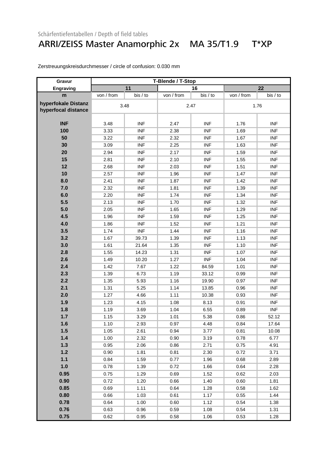#### ARRI/ZEISS Master Anamorphic 2x MA 35/T1.9 T\*XP

| Gravur              |            | T-Blende / T-Stop |            |            |            |            |  |
|---------------------|------------|-------------------|------------|------------|------------|------------|--|
| Engraving           |            | 11                |            | 16         |            | 22         |  |
| m                   | von / from | bis / to          | von / from | bis / to   | von / from | bis / to   |  |
| hyperfokale Distanz | 3.48       |                   |            |            | 1.76       |            |  |
| hyperfocal distance |            |                   | 2.47       |            |            |            |  |
|                     |            |                   |            |            |            |            |  |
| <b>INF</b>          | 3.48       | <b>INF</b>        | 2.47       | <b>INF</b> | 1.76       | <b>INF</b> |  |
| 100                 | 3.33       | <b>INF</b>        | 2.38       | <b>INF</b> | 1.69       | <b>INF</b> |  |
| 50                  | 3.22       | <b>INF</b>        | 2.32       | <b>INF</b> | 1.67       | <b>INF</b> |  |
| 30                  | 3.09       | <b>INF</b>        | 2.25       | <b>INF</b> | 1.63       | <b>INF</b> |  |
| 20                  | 2.94       | <b>INF</b>        | 2.17       | <b>INF</b> | 1.59       | <b>INF</b> |  |
| 15                  | 2.81       | <b>INF</b>        | 2.10       | <b>INF</b> | 1.55       | <b>INF</b> |  |
| 12                  | 2.68       | <b>INF</b>        | 2.03       | <b>INF</b> | 1.51       | <b>INF</b> |  |
| 10                  | 2.57       | <b>INF</b>        | 1.96       | <b>INF</b> | 1.47       | <b>INF</b> |  |
| 8.0                 | 2.41       | <b>INF</b>        | 1.87       | <b>INF</b> | 1.42       | <b>INF</b> |  |
| 7.0                 | 2.32       | <b>INF</b>        | 1.81       | <b>INF</b> | 1.39       | <b>INF</b> |  |
| 6.0                 | 2.20       | <b>INF</b>        | 1.74       | <b>INF</b> | 1.34       | <b>INF</b> |  |
| 5.5                 | 2.13       | <b>INF</b>        | 1.70       | <b>INF</b> | 1.32       | <b>INF</b> |  |
| 5.0                 | 2.05       | <b>INF</b>        | 1.65       | <b>INF</b> | 1.29       | <b>INF</b> |  |
| 4.5                 | 1.96       | <b>INF</b>        | 1.59       | <b>INF</b> | 1.25       | <b>INF</b> |  |
| 4.0                 | 1.86       | <b>INF</b>        | 1.52       | <b>INF</b> | 1.21       | <b>INF</b> |  |
| 3.5                 | 1.74       | <b>INF</b>        | 1.44       | <b>INF</b> | 1.16       | <b>INF</b> |  |
| 3.2                 | 1.67       | 39.73             | 1.39       | <b>INF</b> | 1.13       | <b>INF</b> |  |
| 3.0                 | 1.61       | 21.64             | 1.35       | <b>INF</b> | 1.10       | <b>INF</b> |  |
| 2.8                 | 1.55       | 14.23             | 1.31       | <b>INF</b> | 1.07       | <b>INF</b> |  |
| 2.6                 | 1.49       | 10.20             | 1.27       | <b>INF</b> | 1.04       | <b>INF</b> |  |
| 2.4                 | 1.42       | 7.67              | 1.22       | 84.59      | 1.01       | <b>INF</b> |  |
| 2.3                 | 1.39       | 6.73              | 1.19       | 33.12      | 0.99       | <b>INF</b> |  |
| 2.2                 | 1.35       | 5.93              | 1.16       | 19.90      | 0.97       | <b>INF</b> |  |
| 2.1                 | 1.31       | 5.25              | 1.14       | 13.85      | 0.96       | <b>INF</b> |  |
| 2.0                 | 1.27       | 4.66              | 1.11       | 10.38      | 0.93       | <b>INF</b> |  |
| 1.9                 | 1.23       | 4.15              | 1.08       | 8.13       | 0.91       | <b>INF</b> |  |
| 1.8                 | 1.19       | 3.69              | 1.04       | 6.55       | 0.89       | <b>INF</b> |  |
| 1.7                 | 1.15       | 3.29              | 1.01       | 5.38       | 0.86       | 52.12      |  |
| 1.6                 | 1.10       | 2.93              | 0.97       | 4.48       | 0.84       | 17.64      |  |
| 1.5                 | 1.05       | 2.61              | 0.94       | 3.77       | 0.81       | 10.08      |  |
| 1.4                 | 1.00       | 2.32              | 0.90       | 3.19       | 0.78       | 6.77       |  |
| 1.3                 | 0.95       | 2.06              | 0.86       | 2.71       | 0.75       | 4.91       |  |
| $1.2$               | 0.90       | 1.81              | 0.81       | 2.30       | 0.72       | 3.71       |  |
| $1.1$               | 0.84       | 1.59              | 0.77       | 1.96       | 0.68       | 2.89       |  |
| 1.0                 | 0.78       | 1.39              | 0.72       | 1.66       | 0.64       | 2.28       |  |
| 0.95                | 0.75       | 1.29              | 0.69       | 1.52       | 0.62       | 2.03       |  |
| 0.90                | 0.72       | 1.20              | 0.66       | 1.40       | 0.60       | 1.81       |  |
| 0.85                | 0.69       | 1.11              | 0.64       | 1.28       | 0.58       | 1.62       |  |
| 0.80                | 0.66       | 1.03              | 0.61       | 1.17       | 0.55       | 1.44       |  |
| 0.78                | 0.64       | 1.00              | 0.60       | 1.12       | 0.54       | 1.38       |  |
| 0.76                | 0.63       | 0.96              | 0.59       | 1.08       | 0.54       | 1.31       |  |
| 0.75                | 0.62       | 0.95              | 0.58       | 1.06       | 0.53       | 1.28       |  |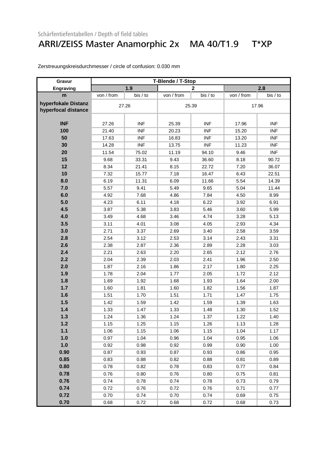### ARRI/ZEISS Master Anamorphic 2x MA 40/T1.9 T\*XP

| Gravur                                     | T-Blende / T-Stop |            |            |              |            |            |  |
|--------------------------------------------|-------------------|------------|------------|--------------|------------|------------|--|
| Engraving                                  |                   | 1.9        |            | $\mathbf{2}$ |            | 2.8        |  |
| m                                          | von / from        | bis / to   | von / from | bis / to     | von / from | bis / to   |  |
| hyperfokale Distanz<br>hyperfocal distance | 27.26             |            |            | 25.39        |            | 17.96      |  |
|                                            |                   |            |            |              |            |            |  |
| <b>INF</b>                                 | 27.26             | <b>INF</b> | 25.39      | <b>INF</b>   | 17.96      | <b>INF</b> |  |
| 100                                        | 21.40             | <b>INF</b> | 20.23      | <b>INF</b>   | 15.20      | <b>INF</b> |  |
| 50                                         | 17.63             | <b>INF</b> | 16.83      | <b>INF</b>   | 13.20      | <b>INF</b> |  |
| 30                                         | 14.28             | <b>INF</b> | 13.75      | <b>INF</b>   | 11.23      | <b>INF</b> |  |
| 20                                         | 11.54             | 75.02      | 11.19      | 94.10        | 9.46       | <b>INF</b> |  |
| 15                                         | 9.68              | 33.31      | 9.43       | 36.60        | 8.18       | 90.72      |  |
| 12                                         | 8.34              | 21.41      | 8.15       | 22.72        | 7.20       | 36.07      |  |
| 10                                         | 7.32              | 15.77      | 7.18       | 16.47        | 6.43       | 22.51      |  |
| 8.0                                        | 6.19              | 11.31      | 6.09       | 11.66        | 5.54       | 14.39      |  |
| 7.0                                        | 5.57              | 9.41       | 5.49       | 9.65         | 5.04       | 11.44      |  |
| 6.0                                        | 4.92              | 7.68       | 4.86       | 7.84         | 4.50       | 8.99       |  |
| 5.0                                        | 4.23              | 6.11       | 4.18       | 6.22         | 3.92       | 6.91       |  |
| 4.5                                        | 3.87              | 5.38       | 3.83       | 5.46         | 3.60       | 5.99       |  |
| 4.0                                        | 3.49              | 4.68       | 3.46       | 4.74         | 3.28       | 5.13       |  |
| 3.5                                        | 3.11              | 4.01       | 3.08       | 4.05         | 2.93       | 4.34       |  |
| 3.0                                        | 2.71              | 3.37       | 2.69       | 3.40         | 2.58       | 3.59       |  |
| 2.8                                        | 2.54              | 3.12       | 2.53       | 3.14         | 2.43       | 3.31       |  |
| 2.6                                        | 2.38              | 2.87       | 2.36       | 2.89         | 2.28       | 3.03       |  |
| 2.4                                        | 2.21              | 2.63       | 2.20       | 2.65         | 2.12       | 2.76       |  |
| 2.2                                        | 2.04              | 2.39       | 2.03       | 2.41         | 1.96       | 2.50       |  |
| 2.0                                        | 1.87              | 2.16       | 1.86       | 2.17         | 1.80       | 2.25       |  |
| 1.9                                        | 1.78              | 2.04       | 1.77       | 2.05         | 1.72       | 2.12       |  |
| 1.8                                        | 1.69              | 1.92       | 1.68       | 1.93         | 1.64       | 2.00       |  |
| 1.7                                        | 1.60              | 1.81       | 1.60       | 1.82         | 1.56       | 1.87       |  |
| 1.6                                        | 1.51              | 1.70       | 1.51       | 1.71         | 1.47       | 1.75       |  |
| 1.5                                        | 1.42              | 1.59       | 1.42       | 1.59         | 1.39       | 1.63       |  |
| 1.4                                        | 1.33              | 1.47       | 1.33       | 1.48         | 1.30       | 1.52       |  |
| 1.3                                        | 1.24              | 1.36       | 1.24       | 1.37         | 1.22       | 1.40       |  |
| $1.2$                                      | 1.15              | 1.25       | 1.15       | 1.26         | 1.13       | 1.28       |  |
| 1.1                                        | 1.06              | 1.15       | 1.06       | 1.15         | 1.04       | 1.17       |  |
| 1.0                                        | 0.97              | 1.04       | 0.96       | 1.04         | 0.95       | 1.06       |  |
| 1.0                                        | 0.92              | 0.98       | 0.92       | 0.99         | 0.90       | 1.00       |  |
| 0.90                                       | 0.87              | 0.93       | 0.87       | 0.93         | 0.86       | 0.95       |  |
| 0.85                                       | 0.83              | 0.88       | 0.82       | 0.88         | 0.81       | 0.89       |  |
| 0.80                                       | 0.78              | 0.82       | 0.78       | 0.83         | 0.77       | 0.84       |  |
| 0.78                                       | 0.76              | 0.80       | 0.76       | 0.80         | 0.75       | 0.81       |  |
| 0.76                                       | 0.74              | 0.78       | 0.74       | 0.78         | 0.73       | 0.79       |  |
| 0.74                                       | 0.72              | 0.76       | 0.72       | 0.76         | 0.71       | 0.77       |  |
| 0.72                                       | 0.70              | 0.74       | 0.70       | 0.74         | 0.69       | 0.75       |  |
| 0.70                                       | 0.68              | 0.72       | 0.68       | 0.72         | 0.68       | 0.73       |  |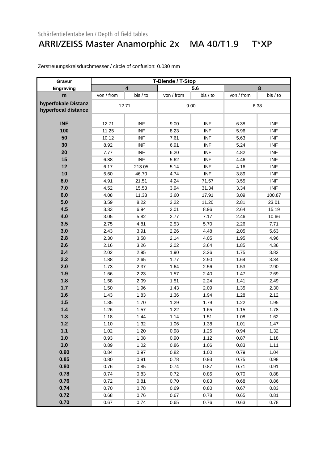#### ARRI/ZEISS Master Anamorphic 2x MA 40/T1.9 T\*XP

| Gravur                                     |            |                         | T-Blende / T-Stop |            |            |            |
|--------------------------------------------|------------|-------------------------|-------------------|------------|------------|------------|
| Engraving                                  |            | $\overline{\mathbf{4}}$ |                   | 5.6        |            | 8          |
| m                                          | von / from | bis / to                | von / from        | bis / to   | von / from | bis / to   |
| hyperfokale Distanz<br>hyperfocal distance |            | 12.71                   |                   | 9.00       | 6.38       |            |
| <b>INF</b>                                 | 12.71      | <b>INF</b>              | 9.00              | <b>INF</b> | 6.38       | <b>INF</b> |
| 100                                        | 11.25      | <b>INF</b>              | 8.23              | <b>INF</b> | 5.96       | <b>INF</b> |
| 50                                         | 10.12      | <b>INF</b>              | 7.61              | <b>INF</b> | 5.63       | <b>INF</b> |
| 30                                         | 8.92       | <b>INF</b>              | 6.91              | <b>INF</b> | 5.24       | <b>INF</b> |
| 20                                         | 7.77       | <b>INF</b>              | 6.20              | <b>INF</b> | 4.82       | <b>INF</b> |
| 15                                         | 6.88       | <b>INF</b>              | 5.62              | <b>INF</b> | 4.46       | <b>INF</b> |
| 12                                         | 6.17       | 213.05                  | 5.14              | <b>INF</b> | 4.16       | <b>INF</b> |
| 10                                         | 5.60       | 46.70                   | 4.74              | <b>INF</b> | 3.89       | <b>INF</b> |
| 8.0                                        | 4.91       | 21.51                   | 4.24              | 71.57      | 3.55       | <b>INF</b> |
| 7.0                                        | 4.52       | 15.53                   | 3.94              | 31.34      | 3.34       | <b>INF</b> |
| 6.0                                        | 4.08       | 11.33                   | 3.60              | 17.91      | 3.09       | 100.87     |
| 5.0                                        | 3.59       | 8.22                    | 3.22              | 11.20      | 2.81       | 23.01      |
| 4.5                                        | 3.33       | 6.94                    | 3.01              | 8.96       | 2.64       | 15.19      |
| 4.0                                        | 3.05       | 5.82                    | 2.77              | 7.17       | 2.46       | 10.66      |
| 3.5                                        | 2.75       | 4.81                    | 2.53              | 5.70       | 2.26       | 7.71       |
| 3.0                                        | 2.43       | 3.91                    | 2.26              | 4.48       | 2.05       | 5.63       |
| 2.8                                        | 2.30       | 3.58                    | 2.14              | 4.05       | 1.95       | 4.96       |
| 2.6                                        | 2.16       | 3.26                    | 2.02              | 3.64       | 1.85       | 4.36       |
| 2.4                                        | 2.02       | 2.95                    | 1.90              | 3.26       | 1.75       | 3.82       |
| 2.2                                        | 1.88       | 2.65                    | 1.77              | 2.90       | 1.64       | 3.34       |
| 2.0                                        | 1.73       | 2.37                    | 1.64              | 2.56       | 1.53       | 2.90       |
| 1.9                                        | 1.66       | 2.23                    | 1.57              | 2.40       | 1.47       | 2.69       |
| 1.8                                        | 1.58       | 2.09                    | 1.51              | 2.24       | 1.41       | 2.49       |
| 1.7                                        | 1.50       | 1.96                    | 1.43              | 2.09       | 1.35       | 2.30       |
| 1.6                                        | 1.43       | 1.83                    | 1.36              | 1.94       | 1.28       | 2.12       |
| 1.5                                        | 1.35       | 1.70                    | 1.29              | 1.79       | 1.22       | 1.95       |
| 1.4                                        | 1.26       | 1.57                    | 1.22              | 1.65       | 1.15       | 1.78       |
| 1.3                                        | 1.18       | 1.44                    | 1.14              | 1.51       | 1.08       | 1.62       |
| 1.2                                        | 1.10       | 1.32                    | 1.06              | 1.38       | 1.01       | 1.47       |
| $1.1$                                      | 1.02       | 1.20                    | 0.98              | 1.25       | 0.94       | 1.32       |
| 1.0                                        | 0.93       | 1.08                    | 0.90              | 1.12       | 0.87       | 1.18       |
| 1.0                                        | 0.89       | 1.02                    | 0.86              | 1.06       | 0.83       | 1.11       |
| 0.90                                       | 0.84       | 0.97                    | 0.82              | 1.00       | 0.79       | 1.04       |
| 0.85                                       | 0.80       | 0.91                    | 0.78              | 0.93       | 0.75       | 0.98       |
| 0.80                                       | 0.76       | 0.85                    | 0.74              | 0.87       | 0.71       | 0.91       |
| 0.78                                       | 0.74       | 0.83                    | 0.72              | 0.85       | 0.70       | 0.88       |
| 0.76                                       | 0.72       | 0.81                    | 0.70              | 0.83       | 0.68       | 0.86       |
| 0.74                                       | 0.70       | 0.78                    | 0.69              | 0.80       | 0.67       | 0.83       |
| 0.72                                       | 0.68       | 0.76                    | 0.67              | 0.78       | 0.65       | 0.81       |
| 0.70                                       | 0.67       | 0.74                    | 0.65              | 0.76       | 0.63       | 0.78       |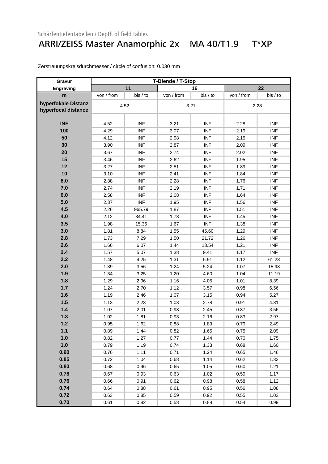#### ARRI/ZEISS Master Anamorphic 2x MA 40/T1.9 T\*XP

| Gravur              | T-Blende / T-Stop |            |            |            |            |            |  |
|---------------------|-------------------|------------|------------|------------|------------|------------|--|
| Engraving           |                   | 11         |            | 16         |            | 22         |  |
| m                   | von / from        | bis / to   | von / from | bis / to   | von / from | bis / to   |  |
| hyperfokale Distanz |                   | 4.52       |            |            |            | 2.28       |  |
| hyperfocal distance |                   |            | 3.21       |            |            |            |  |
|                     |                   |            |            |            |            |            |  |
| <b>INF</b>          | 4.52              | <b>INF</b> | 3.21       | <b>INF</b> | 2.28       | <b>INF</b> |  |
| 100                 | 4.29              | <b>INF</b> | 3.07       | <b>INF</b> | 2.19       | <b>INF</b> |  |
| 50                  | 4.12              | <b>INF</b> | 2.98       | <b>INF</b> | 2.15       | <b>INF</b> |  |
| 30                  | 3.90              | <b>INF</b> | 2.87       | <b>INF</b> | 2.09       | <b>INF</b> |  |
| 20                  | 3.67              | <b>INF</b> | 2.74       | <b>INF</b> | 2.02       | <b>INF</b> |  |
| 15                  | 3.46              | <b>INF</b> | 2.62       | <b>INF</b> | 1.95       | <b>INF</b> |  |
| 12                  | 3.27              | <b>INF</b> | 2.51       | <b>INF</b> | 1.89       | <b>INF</b> |  |
| 10                  | 3.10              | <b>INF</b> | 2.41       | <b>INF</b> | 1.84       | <b>INF</b> |  |
| 8.0                 | 2.88              | <b>INF</b> | 2.28       | <b>INF</b> | 1.76       | <b>INF</b> |  |
| 7.0                 | 2.74              | <b>INF</b> | 2.19       | <b>INF</b> | 1.71       | <b>INF</b> |  |
| 6.0                 | 2.58              | <b>INF</b> | 2.08       | <b>INF</b> | 1.64       | <b>INF</b> |  |
| 5.0                 | 2.37              | <b>INF</b> | 1.95       | <b>INF</b> | 1.56       | <b>INF</b> |  |
| 4.5                 | 2.26              | 965.79     | 1.87       | <b>INF</b> | 1.51       | <b>INF</b> |  |
| 4.0                 | 2.12              | 34.41      | 1.78       | <b>INF</b> | 1.45       | <b>INF</b> |  |
| 3.5                 | 1.98              | 15.36      | 1.67       | <b>INF</b> | 1.38       | <b>INF</b> |  |
| 3.0                 | 1.81              | 8.84       | 1.55       | 45.60      | 1.29       | <b>INF</b> |  |
| 2.8                 | 1.73              | 7.29       | 1.50       | 21.72      | 1.26       | <b>INF</b> |  |
| 2.6                 | 1.66              | 6.07       | 1.44       | 13.54      | 1.21       | <b>INF</b> |  |
| 2.4                 | 1.57              | 5.07       | 1.38       | 9.41       | 1.17       | <b>INF</b> |  |
| 2.2                 | 1.48              | 4.25       | 1.31       | 6.91       | 1.12       | 61.28      |  |
| 2.0                 | 1.39              | 3.56       | 1.24       | 5.24       | 1.07       | 15.98      |  |
| 1.9                 | 1.34              | 3.25       | 1.20       | 4.60       | 1.04       | 11.19      |  |
| 1.8                 | 1.29              | 2.96       | 1.16       | 4.05       | 1.01       | 8.39       |  |
| 1.7                 | 1.24              | 2.70       | 1.12       | 3.57       | 0.98       | 6.56       |  |
| 1.6                 | 1.19              | 2.46       | 1.07       | 3.15       | 0.94       | 5.27       |  |
| 1.5                 | 1.13              | 2.23       | 1.03       | 2.78       | 0.91       | 4.31       |  |
| 1.4                 | 1.07              | 2.01       | 0.98       | 2.45       | 0.87       | 3.56       |  |
| 1.3                 | 1.02              | 1.81       | 0.93       | 2.16       | 0.83       | 2.97       |  |
| 1.2                 | 0.95              | 1.62       | 0.88       | 1.89       | 0.79       | 2.49       |  |
| $1.1$               | 0.89              | 1.44       | 0.82       | 1.65       | 0.75       | 2.09       |  |
| 1.0                 | 0.82              | 1.27       | 0.77       | 1.44       | 0.70       | 1.75       |  |
| 1.0                 | 0.79              | 1.19       | 0.74       | 1.33       | 0.68       | 1.60       |  |
| 0.90                | 0.76              | 1.11       | 0.71       | 1.24       | 0.65       | 1.46       |  |
| 0.85                | 0.72              | 1.04       | 0.68       | 1.14       | 0.62       | 1.33       |  |
| 0.80                | 0.68              | 0.96       | 0.65       | 1.05       | 0.60       | 1.21       |  |
| 0.78                | 0.67              | 0.93       | 0.63       | 1.02       | 0.59       | 1.17       |  |
| 0.76                | 0.66              | 0.91       | 0.62       | 0.98       | 0.58       | 1.12       |  |
| 0.74                | 0.64              | 0.88       | 0.61       | 0.95       | 0.56       | 1.08       |  |
| 0.72                | 0.63              | 0.85       | 0.59       | 0.92       | 0.55       | 1.03       |  |
| 0.70                | 0.61              | 0.82       | 0.58       | 0.88       | 0.54       | 0.99       |  |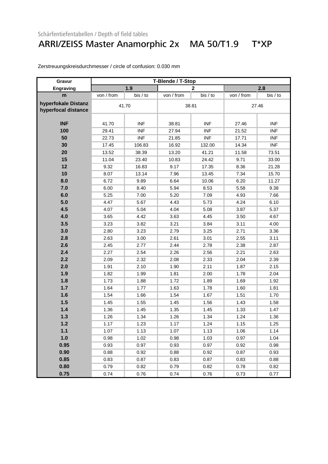#### ARRI/ZEISS Master Anamorphic 2x MA 50/T1.9 T\*XP

| Gravur                                     | T-Blende / T-Stop |            |            |              |            |            |
|--------------------------------------------|-------------------|------------|------------|--------------|------------|------------|
| Engraving                                  |                   | 1.9        |            | $\mathbf{2}$ |            | 2.8        |
| m                                          | von / from        | bis / to   | von / from | bis / to     | von / from | bis / to   |
| hyperfokale Distanz<br>hyperfocal distance |                   | 41.70      |            | 38.81        | 27.46      |            |
| <b>INF</b>                                 | 41.70             | <b>INF</b> | 38.81      | <b>INF</b>   | 27.46      | <b>INF</b> |
| 100                                        | 29.41             | <b>INF</b> | 27.94      | <b>INF</b>   | 21.52      | <b>INF</b> |
| 50                                         | 22.73             | <b>INF</b> | 21.85      | <b>INF</b>   | 17.71      | <b>INF</b> |
| 30                                         | 17.45             | 106.83     | 16.92      | 132.00       | 14.34      | <b>INF</b> |
| 20                                         | 13.52             | 38.39      | 13.20      | 41.21        | 11.58      | 73.51      |
| 15                                         | 11.04             | 23.40      | 10.83      | 24.42        | 9.71       | 33.00      |
| 12                                         | 9.32              | 16.83      | 9.17       | 17.35        | 8.36       | 21.28      |
| 10                                         | 8.07              | 13.14      | 7.96       | 13.45        | 7.34       | 15.70      |
| 8.0                                        | 6.72              | 9.89       | 6.64       | 10.06        | 6.20       | 11.27      |
| 7.0                                        | 6.00              | 8.40       | 5.94       | 8.53         | 5.58       | 9.38       |
| 6.0                                        | 5.25              | 7.00       | 5.20       | 7.09         | 4.93       | 7.66       |
| 5.0                                        | 4.47              | 5.67       | 4.43       | 5.73         | 4.24       | 6.10       |
| 4.5                                        | 4.07              | 5.04       | 4.04       | 5.08         | 3.87       | 5.37       |
| 4.0                                        | 3.65              | 4.42       | 3.63       | 4.45         | 3.50       | 4.67       |
| 3.5                                        | 3.23              | 3.82       | 3.21       | 3.84         | 3.11       | 4.00       |
| 3.0                                        | 2.80              | 3.23       | 2.79       | 3.25         | 2.71       | 3.36       |
| 2.8                                        | 2.63              | 3.00       | 2.61       | 3.01         | 2.55       | 3.11       |
| 2.6                                        | 2.45              | 2.77       | 2.44       | 2.78         | 2.38       | 2.87       |
| 2.4                                        | 2.27              | 2.54       | 2.26       | 2.56         | 2.21       | 2.63       |
| 2.2                                        | 2.09              | 2.32       | 2.08       | 2.33         | 2.04       | 2.39       |
| 2.0                                        | 1.91              | 2.10       | 1.90       | 2.11         | 1.87       | 2.15       |
| 1.9                                        | 1.82              | 1.99       | 1.81       | 2.00         | 1.78       | 2.04       |
| 1.8                                        | 1.73              | 1.88       | 1.72       | 1.89         | 1.69       | 1.92       |
| 1.7                                        | 1.64              | 1.77       | 1.63       | 1.78         | 1.60       | 1.81       |
| 1.6                                        | 1.54              | 1.66       | 1.54       | 1.67         | 1.51       | 1.70       |
| 1.5                                        | 1.45              | 1.55       | 1.45       | 1.56         | 1.43       | 1.58       |
| 1.4                                        | 1.36              | 1.45       | 1.35       | 1.45         | 1.33       | 1.47       |
| 1.3                                        | 1.26              | 1.34       | 1.26       | 1.34         | 1.24       | 1.36       |
| $1.2$                                      | 1.17              | 1.23       | 1.17       | 1.24         | 1.15       | 1.25       |
| $1.1$                                      | 1.07              | 1.13       | 1.07       | 1.13         | 1.06       | 1.14       |
| 1.0                                        | 0.98              | 1.02       | 0.98       | 1.03         | 0.97       | 1.04       |
| 0.95                                       | 0.93              | 0.97       | 0.93       | 0.97         | 0.92       | 0.98       |
| 0.90                                       | 0.88              | 0.92       | 0.88       | 0.92         | 0.87       | 0.93       |
| 0.85                                       | 0.83              | 0.87       | 0.83       | 0.87         | 0.83       | 0.88       |
| 0.80                                       | 0.79              | 0.82       | 0.79       | 0.82         | 0.78       | 0.82       |
| 0.75                                       | 0.74              | 0.76       | 0.74       | 0.76         | 0.73       | 0.77       |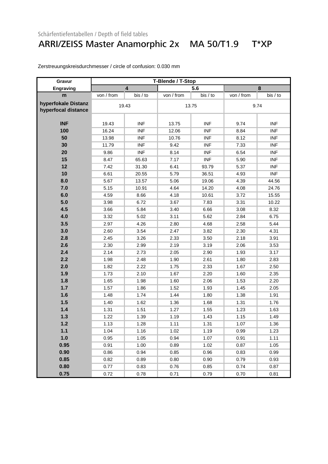#### ARRI/ZEISS Master Anamorphic 2x MA 50/T1.9 T\*XP

| Gravur                                     |            |                         | T-Blende / T-Stop |            |            |            |  |
|--------------------------------------------|------------|-------------------------|-------------------|------------|------------|------------|--|
| Engraving                                  |            | $\overline{\mathbf{4}}$ |                   | 5.6        |            | 8          |  |
| m                                          | von / from | bis / to                | von / from        | bis / to   | von / from | bis / to   |  |
| hyperfokale Distanz<br>hyperfocal distance |            | 19.43                   |                   | 13.75      |            | 9.74       |  |
| <b>INF</b>                                 | 19.43      | <b>INF</b>              | 13.75             | <b>INF</b> | 9.74       | <b>INF</b> |  |
| 100                                        | 16.24      | <b>INF</b>              | 12.06             | <b>INF</b> | 8.84       | <b>INF</b> |  |
| 50                                         | 13.98      | <b>INF</b>              | 10.76             | <b>INF</b> | 8.12       | <b>INF</b> |  |
| 30                                         | 11.79      | <b>INF</b>              | 9.42              | <b>INF</b> | 7.33       | <b>INF</b> |  |
| 20                                         | 9.86       | <b>INF</b>              | 8.14              | <b>INF</b> | 6.54       | <b>INF</b> |  |
| 15                                         | 8.47       | 65.63                   | 7.17              | <b>INF</b> | 5.90       | <b>INF</b> |  |
| 12                                         | 7.42       | 31.30                   | 6.41              | 93.79      | 5.37       | <b>INF</b> |  |
| 10                                         | 6.61       | 20.55                   | 5.79              | 36.51      | 4.93       | <b>INF</b> |  |
| 8.0                                        | 5.67       | 13.57                   | 5.06              | 19.06      | 4.39       | 44.56      |  |
| 7.0                                        | 5.15       | 10.91                   | 4.64              | 14.20      | 4.08       | 24.76      |  |
| 6.0                                        | 4.59       | 8.66                    | 4.18              | 10.61      | 3.72       | 15.55      |  |
| 5.0                                        | 3.98       | 6.72                    | 3.67              | 7.83       | 3.31       | 10.22      |  |
| 4.5                                        | 3.66       | 5.84                    | 3.40              | 6.66       | 3.08       | 8.32       |  |
| 4.0                                        | 3.32       | 5.02                    | 3.11              | 5.62       | 2.84       | 6.75       |  |
| 3.5                                        | 2.97       | 4.26                    | 2.80              | 4.68       | 2.58       | 5.44       |  |
| 3.0                                        | 2.60       | 3.54                    | 2.47              | 3.82       | 2.30       | 4.31       |  |
| 2.8                                        | 2.45       | 3.26                    | 2.33              | 3.50       | 2.18       | 3.91       |  |
| 2.6                                        | 2.30       | 2.99                    | 2.19              | 3.19       | 2.06       | 3.53       |  |
| 2.4                                        | 2.14       | 2.73                    | 2.05              | 2.90       | 1.93       | 3.17       |  |
| 2.2                                        | 1.98       | 2.48                    | 1.90              | 2.61       | 1.80       | 2.83       |  |
| 2.0                                        | 1.82       | 2.22                    | 1.75              | 2.33       | 1.67       | 2.50       |  |
| 1.9                                        | 1.73       | 2.10                    | 1.67              | 2.20       | 1.60       | 2.35       |  |
| 1.8                                        | 1.65       | 1.98                    | 1.60              | 2.06       | 1.53       | 2.20       |  |
| $1.7$                                      | 1.57       | 1.86                    | 1.52              | 1.93       | 1.45       | 2.05       |  |
| 1.6                                        | 1.48       | 1.74                    | 1.44              | 1.80       | 1.38       | 1.91       |  |
| 1.5                                        | 1.40       | 1.62                    | 1.36              | 1.68       | 1.31       | 1.76       |  |
| 1.4                                        | 1.31       | 1.51                    | 1.27              | 1.55       | 1.23       | 1.63       |  |
| 1.3                                        | 1.22       | 1.39                    | 1.19              | 1.43       | 1.15       | 1.49       |  |
| $1.2$                                      | 1.13       | 1.28                    | 1.11              | 1.31       | 1.07       | 1.36       |  |
| $1.1$                                      | 1.04       | 1.16                    | 1.02              | 1.19       | 0.99       | 1.23       |  |
| 1.0                                        | 0.95       | 1.05                    | 0.94              | 1.07       | 0.91       | 1.11       |  |
| 0.95                                       | 0.91       | 1.00                    | 0.89              | 1.02       | 0.87       | 1.05       |  |
| 0.90                                       | 0.86       | 0.94                    | 0.85              | 0.96       | 0.83       | 0.99       |  |
| 0.85                                       | 0.82       | 0.89                    | 0.80              | 0.90       | 0.79       | 0.93       |  |
| 0.80                                       | 0.77       | 0.83                    | 0.76              | 0.85       | 0.74       | 0.87       |  |
| 0.75                                       | 0.72       | 0.78                    | 0.71              | 0.79       | 0.70       | 0.81       |  |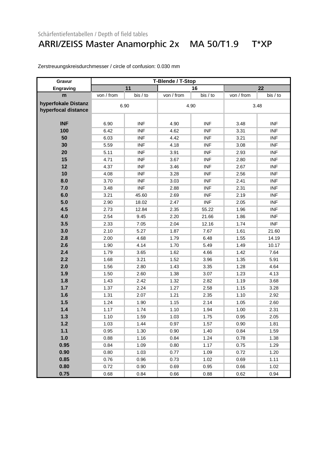### ARRI/ZEISS Master Anamorphic 2x MA 50/T1.9 T\*XP

| Gravur                                     |            |            | T-Blende / T-Stop |            |            |            |  |
|--------------------------------------------|------------|------------|-------------------|------------|------------|------------|--|
| Engraving                                  |            | 11         |                   | 16         |            | 22         |  |
| m                                          | von / from | bis / to   | von / from        | bis / to   | von / from | bis / to   |  |
| hyperfokale Distanz<br>hyperfocal distance | 6.90       |            |                   | 4.90       |            | 3.48       |  |
| <b>INF</b>                                 | 6.90       | <b>INF</b> | 4.90              | <b>INF</b> | 3.48       | <b>INF</b> |  |
| 100                                        | 6.42       | <b>INF</b> | 4.62              | <b>INF</b> | 3.31       | <b>INF</b> |  |
| 50                                         | 6.03       | <b>INF</b> | 4.42              | <b>INF</b> | 3.21       | <b>INF</b> |  |
| 30                                         | 5.59       | <b>INF</b> | 4.18              | <b>INF</b> | 3.08       | <b>INF</b> |  |
| 20                                         | 5.11       | <b>INF</b> | 3.91              | <b>INF</b> | 2.93       | <b>INF</b> |  |
| 15                                         | 4.71       | <b>INF</b> | 3.67              | <b>INF</b> | 2.80       | <b>INF</b> |  |
| 12                                         | 4.37       | <b>INF</b> | 3.46              | <b>INF</b> | 2.67       | <b>INF</b> |  |
| 10                                         | 4.08       | <b>INF</b> | 3.28              | <b>INF</b> | 2.56       | <b>INF</b> |  |
| 8.0                                        | 3.70       | <b>INF</b> | 3.03              | <b>INF</b> | 2.41       | <b>INF</b> |  |
| 7.0                                        | 3.48       | <b>INF</b> | 2.88              | <b>INF</b> | 2.31       | <b>INF</b> |  |
| 6.0                                        | 3.21       | 45.60      | 2.69              | <b>INF</b> | 2.19       | <b>INF</b> |  |
| 5.0                                        | 2.90       | 18.02      | 2.47              | <b>INF</b> | 2.05       | <b>INF</b> |  |
| 4.5                                        | 2.73       | 12.84      | 2.35              | 55.22      | 1.96       | <b>INF</b> |  |
| 4.0                                        | 2.54       | 9.45       | 2.20              | 21.66      | 1.86       | <b>INF</b> |  |
| 3.5                                        | 2.33       | 7.05       | 2.04              | 12.16      | 1.74       | <b>INF</b> |  |
| 3.0                                        | 2.10       | 5.27       | 1.87              | 7.67       | 1.61       | 21.60      |  |
| 2.8                                        | 2.00       | 4.68       | 1.79              | 6.48       | 1.55       | 14.19      |  |
| 2.6                                        | 1.90       | 4.14       | 1.70              | 5.49       | 1.49       | 10.17      |  |
| 2.4                                        | 1.79       | 3.65       | 1.62              | 4.66       | 1.42       | 7.64       |  |
| 2.2                                        | 1.68       | 3.21       | 1.52              | 3.96       | 1.35       | 5.91       |  |
| 2.0                                        | 1.56       | 2.80       | 1.43              | 3.35       | 1.28       | 4.64       |  |
| 1.9                                        | 1.50       | 2.60       | 1.38              | 3.07       | 1.23       | 4.13       |  |
| 1.8                                        | 1.43       | 2.42       | 1.32              | 2.82       | 1.19       | 3.68       |  |
| 1.7                                        | 1.37       | 2.24       | 1.27              | 2.58       | 1.15       | 3.28       |  |
| 1.6                                        | 1.31       | 2.07       | 1.21              | 2.35       | 1.10       | 2.92       |  |
| 1.5                                        | 1.24       | 1.90       | 1.15              | 2.14       | 1.05       | 2.60       |  |
| 1.4                                        | 1.17       | 1.74       | 1.10              | 1.94       | 1.00       | 2.31       |  |
| 1.3                                        | 1.10       | 1.59       | 1.03              | 1.75       | 0.95       | 2.05       |  |
| $1.2$                                      | 1.03       | 1.44       | 0.97              | 1.57       | 0.90       | 1.81       |  |
| $1.1$                                      | 0.95       | 1.30       | 0.90              | 1.40       | 0.84       | 1.59       |  |
| 1.0                                        | 0.88       | 1.16       | 0.84              | 1.24       | 0.78       | 1.38       |  |
| 0.95                                       | 0.84       | 1.09       | 0.80              | 1.17       | 0.75       | 1.29       |  |
| 0.90                                       | 0.80       | 1.03       | 0.77              | 1.09       | 0.72       | 1.20       |  |
| 0.85                                       | 0.76       | 0.96       | 0.73              | 1.02       | 0.69       | 1.11       |  |
| 0.80                                       | 0.72       | 0.90       | 0.69              | 0.95       | 0.66       | 1.02       |  |
| 0.75                                       | 0.68       | 0.84       | 0.66              | 0.88       | 0.62       | 0.94       |  |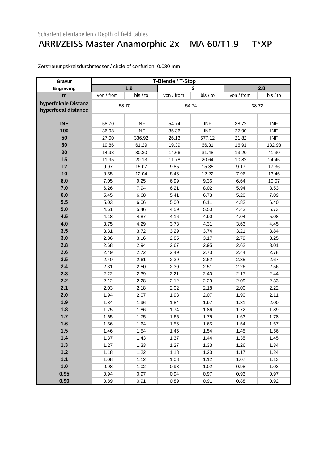### ARRI/ZEISS Master Anamorphic 2x MA 60/T1.9 T\*XP

| Gravur              | T-Blende / T-Stop |            |            |                |            |            |  |  |
|---------------------|-------------------|------------|------------|----------------|------------|------------|--|--|
| Engraving           |                   | 1.9        |            | $\overline{2}$ |            | 2.8        |  |  |
| m                   | von / from        | bis / to   | von / from | bis / to       | von / from | bis / to   |  |  |
| hyperfokale Distanz |                   | 58.70      | 54.74      |                | 38.72      |            |  |  |
| hyperfocal distance |                   |            |            |                |            |            |  |  |
|                     |                   |            |            |                |            |            |  |  |
| <b>INF</b>          | 58.70             | <b>INF</b> | 54.74      | <b>INF</b>     | 38.72      | <b>INF</b> |  |  |
| 100                 | 36.98             | <b>INF</b> | 35.36      | <b>INF</b>     | 27.90      | <b>INF</b> |  |  |
| 50                  | 27.00             | 336.92     | 26.13      | 577.12         | 21.82      | <b>INF</b> |  |  |
| 30                  | 19.86             | 61.29      | 19.39      | 66.31          | 16.91      | 132.98     |  |  |
| 20                  | 14.93             | 30.30      | 14.66      | 31.48          | 13.20      | 41.30      |  |  |
| 15                  | 11.95             | 20.13      | 11.78      | 20.64          | 10.82      | 24.45      |  |  |
| 12                  | 9.97              | 15.07      | 9.85       | 15.35          | 9.17       | 17.36      |  |  |
| 10                  | 8.55              | 12.04      | 8.46       | 12.22          | 7.96       | 13.46      |  |  |
| 8.0                 | 7.05              | 9.25       | 6.99       | 9.36           | 6.64       | 10.07      |  |  |
| 7.0                 | 6.26              | 7.94       | 6.21       | 8.02           | 5.94       | 8.53       |  |  |
| 6.0                 | 5.45              | 6.68       | 5.41       | 6.73           | 5.20       | 7.09       |  |  |
| 5.5                 | 5.03              | 6.06       | 5.00       | 6.11           | 4.82       | 6.40       |  |  |
| 5.0                 | 4.61              | 5.46       | 4.59       | 5.50           | 4.43       | 5.73       |  |  |
| 4.5                 | 4.18              | 4.87       | 4.16       | 4.90           | 4.04       | 5.08       |  |  |
| 4.0                 | 3.75              | 4.29       | 3.73       | 4.31           | 3.63       | 4.45       |  |  |
| 3.5                 | 3.31              | 3.72       | 3.29       | 3.74           | 3.21       | 3.84       |  |  |
| 3.0                 | 2.86              | 3.16       | 2.85       | 3.17           | 2.79       | 3.25       |  |  |
| 2.8                 | 2.68              | 2.94       | 2.67       | 2.95           | 2.62       | 3.01       |  |  |
| 2.6                 | 2.49              | 2.72       | 2.49       | 2.73           | 2.44       | 2.78       |  |  |
| 2.5                 | 2.40              | 2.61       | 2.39       | 2.62           | 2.35       | 2.67       |  |  |
| 2.4                 | 2.31              | 2.50       | 2.30       | 2.51           | 2.26       | 2.56       |  |  |
| 2.3                 | 2.22              | 2.39       | 2.21       | 2.40           | 2.17       | 2.44       |  |  |
| 2.2                 | 2.12              | 2.28       | 2.12       | 2.29           | 2.09       | 2.33       |  |  |
| 2.1                 | 2.03              | 2.18       | 2.02       | 2.18           | 2.00       | 2.22       |  |  |
| 2.0                 | 1.94              | 2.07       | 1.93       | 2.07           | 1.90       | 2.11       |  |  |
| 1.9                 | 1.84              | 1.96       | 1.84       | 1.97           | 1.81       | 2.00       |  |  |
| 1.8                 | 1.75              | 1.86       | 1.74       | 1.86           | 1.72       | 1.89       |  |  |
| 1.7                 | 1.65              | 1.75       | 1.65       | 1.75           | 1.63       | 1.78       |  |  |
| 1.6                 | 1.56              | 1.64       | 1.56       | 1.65           | 1.54       | 1.67       |  |  |
| 1.5                 | 1.46              | 1.54       | 1.46       | 1.54           | 1.45       | 1.56       |  |  |
| 1.4                 | 1.37              | 1.43       | 1.37       | 1.44           | 1.35       | 1.45       |  |  |
| 1.3                 | 1.27              | 1.33       | 1.27       | 1.33           | 1.26       | 1.34       |  |  |
| $1.2$               | 1.18              | 1.22       | 1.18       | 1.23           | 1.17       | 1.24       |  |  |
| $1.1$               | 1.08              | 1.12       | 1.08       | 1.12           | 1.07       | 1.13       |  |  |
| 1.0                 | 0.98              | 1.02       | 0.98       | 1.02           | 0.98       | 1.03       |  |  |
| 0.95                | 0.94              | 0.97       | 0.94       | 0.97           | 0.93       | 0.97       |  |  |
| 0.90                | 0.89              | 0.91       | 0.89       | 0.91           | 0.88       | 0.92       |  |  |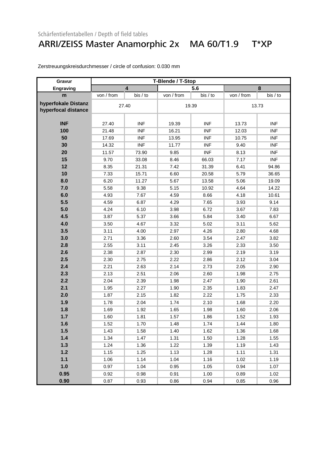#### ARRI/ZEISS Master Anamorphic 2x MA 60/T1.9 T\*XP

| Gravur              |            | T-Blende / T-Stop       |            |            |            |            |  |  |  |
|---------------------|------------|-------------------------|------------|------------|------------|------------|--|--|--|
| Engraving           |            | $\overline{\mathbf{4}}$ |            | 5.6        |            | 8          |  |  |  |
| m                   | von / from | bis / to                | von / from | bis / to   | von / from | bis / to   |  |  |  |
| hyperfokale Distanz |            | 27.40                   |            | 19.39      |            | 13.73      |  |  |  |
| hyperfocal distance |            |                         |            |            |            |            |  |  |  |
|                     |            |                         |            |            |            |            |  |  |  |
| <b>INF</b>          | 27.40      | <b>INF</b>              | 19.39      | <b>INF</b> | 13.73      | <b>INF</b> |  |  |  |
| 100                 | 21.48      | <b>INF</b>              | 16.21      | <b>INF</b> | 12.03      | <b>INF</b> |  |  |  |
| 50                  | 17.69      | <b>INF</b>              | 13.95      | <b>INF</b> | 10.75      | <b>INF</b> |  |  |  |
| 30                  | 14.32      | <b>INF</b>              | 11.77      | <b>INF</b> | 9.40       | <b>INF</b> |  |  |  |
| 20                  | 11.57      | 73.90                   | 9.85       | <b>INF</b> | 8.13       | <b>INF</b> |  |  |  |
| 15                  | 9.70       | 33.08                   | 8.46       | 66.03      | 7.17       | <b>INF</b> |  |  |  |
| 12                  | 8.35       | 21.31                   | 7.42       | 31.39      | 6.41       | 94.86      |  |  |  |
| 10                  | 7.33       | 15.71                   | 6.60       | 20.58      | 5.79       | 36.65      |  |  |  |
| 8.0                 | 6.20       | 11.27                   | 5.67       | 13.58      | 5.06       | 19.09      |  |  |  |
| 7.0                 | 5.58       | 9.38                    | 5.15       | 10.92      | 4.64       | 14.22      |  |  |  |
| 6.0                 | 4.93       | 7.67                    | 4.59       | 8.66       | 4.18       | 10.61      |  |  |  |
| 5.5                 | 4.59       | 6.87                    | 4.29       | 7.65       | 3.93       | 9.14       |  |  |  |
| 5.0                 | 4.24       | 6.10                    | 3.98       | 6.72       | 3.67       | 7.83       |  |  |  |
| 4.5                 | 3.87       | 5.37                    | 3.66       | 5.84       | 3.40       | 6.67       |  |  |  |
| 4.0                 | 3.50       | 4.67                    | 3.32       | 5.02       | 3.11       | 5.62       |  |  |  |
| 3.5                 | 3.11       | 4.00                    | 2.97       | 4.26       | 2.80       | 4.68       |  |  |  |
| 3.0                 | 2.71       | 3.36                    | 2.60       | 3.54       | 2.47       | 3.82       |  |  |  |
| 2.8                 | 2.55       | 3.11                    | 2.45       | 3.26       | 2.33       | 3.50       |  |  |  |
| 2.6                 | 2.38       | 2.87                    | 2.30       | 2.99       | 2.19       | 3.19       |  |  |  |
| 2.5                 | 2.30       | 2.75                    | 2.22       | 2.86       | 2.12       | 3.04       |  |  |  |
| 2.4                 | 2.21       | 2.63                    | 2.14       | 2.73       | 2.05       | 2.90       |  |  |  |
| 2.3                 | 2.13       | 2.51                    | 2.06       | 2.60       | 1.98       | 2.75       |  |  |  |
| 2.2                 | 2.04       | 2.39                    | 1.98       | 2.47       | 1.90       | 2.61       |  |  |  |
| 2.1                 | 1.95       | 2.27                    | 1.90       | 2.35       | 1.83       | 2.47       |  |  |  |
| 2.0                 | 1.87       | 2.15                    | 1.82       | 2.22       | 1.75       | 2.33       |  |  |  |
| 1.9                 | 1.78       | 2.04                    | 1.74       | 2.10       | 1.68       | 2.20       |  |  |  |
| 1.8                 | 1.69       | 1.92                    | 1.65       | 1.98       | 1.60       | 2.06       |  |  |  |
| 1.7                 | 1.60       | 1.81                    | 1.57       | 1.86       | 1.52       | 1.93       |  |  |  |
| 1.6                 | 1.52       | 1.70                    | 1.48       | 1.74       | 1.44       | 1.80       |  |  |  |
| 1.5                 | 1.43       | 1.58                    | 1.40       | 1.62       | 1.36       | 1.68       |  |  |  |
| 1.4                 | 1.34       | 1.47                    | 1.31       | 1.50       | 1.28       | 1.55       |  |  |  |
| 1.3                 | 1.24       | 1.36                    | 1.22       | 1.39       | 1.19       | 1.43       |  |  |  |
| $1.2$               | 1.15       | 1.25                    | 1.13       | 1.28       | 1.11       | 1.31       |  |  |  |
| $1.1$               | 1.06       | 1.14                    | 1.04       | 1.16       | 1.02       | 1.19       |  |  |  |
| 1.0                 | 0.97       | 1.04                    | 0.95       | 1.05       | 0.94       | 1.07       |  |  |  |
| 0.95                | 0.92       | 0.98                    | 0.91       | 1.00       | 0.89       | 1.02       |  |  |  |
| 0.90                | 0.87       | 0.93                    | 0.86       | 0.94       | 0.85       | 0.96       |  |  |  |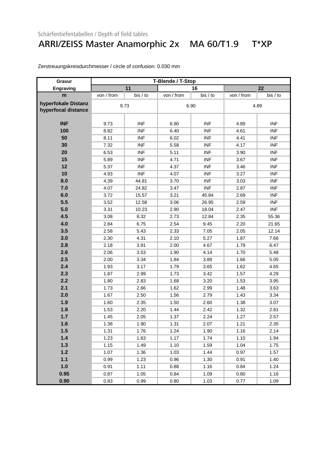### ARRI/ZEISS Master Anamorphic 2x MA 60/T1.9 T\*XP

| Gravur              |            |            | T-Blende / T-Stop |            |            |            |
|---------------------|------------|------------|-------------------|------------|------------|------------|
| Engraving           |            | 11         |                   | 16         |            | 22         |
| m                   | von / from | bis / to   | von / from        | bis / to   | von / from | bis / to   |
| hyperfokale Distanz |            | 9.73       |                   | 6.90       |            |            |
| hyperfocal distance |            |            |                   |            | 4.89       |            |
|                     |            |            |                   |            |            |            |
| <b>INF</b>          | 9.73       | <b>INF</b> | 6.90              | <b>INF</b> | 4.89       | <b>INF</b> |
| 100                 | 8.82       | <b>INF</b> | 6.40              | <b>INF</b> | 4.61       | <b>INF</b> |
| 50                  | 8.11       | <b>INF</b> | 6.02              | <b>INF</b> | 4.41       | <b>INF</b> |
| 30                  | 7.32       | <b>INF</b> | 5.58              | <b>INF</b> | 4.17       | <b>INF</b> |
| 20                  | 6.53       | <b>INF</b> | 5.11              | <b>INF</b> | 3.90       | <b>INF</b> |
| 15                  | 5.89       | <b>INF</b> | 4.71              | <b>INF</b> | 3.67       | <b>INF</b> |
| 12                  | 5.37       | <b>INF</b> | 4.37              | <b>INF</b> | 3.46       | <b>INF</b> |
| 10                  | 4.93       | <b>INF</b> | 4.07              | <b>INF</b> | 3.27       | <b>INF</b> |
| 8.0                 | 4.39       | 44.81      | 3.70              | <b>INF</b> | 3.03       | <b>INF</b> |
| 7.0                 | 4.07       | 24.82      | 3.47              | <b>INF</b> | 2.87       | <b>INF</b> |
| 6.0                 | 3.72       | 15.57      | 3.21              | 45.84      | 2.69       | <b>INF</b> |
| 5.5                 | 3.52       | 12.58      | 3.06              | 26.95      | 2.59       | <b>INF</b> |
| 5.0                 | 3.31       | 10.23      | 2.90              | 18.04      | 2.47       | <b>INF</b> |
| 4.5                 | 3.08       | 8.32       | 2.73              | 12.84      | 2.35       | 55.36      |
| 4.0                 | 2.84       | 6.75       | 2.54              | 9.45       | 2.20       | 21.65      |
| 3.5                 | 2.58       | 5.43       | 2.33              | 7.05       | 2.05       | 12.14      |
| 3.0                 | 2.30       | 4.31       | 2.10              | 5.27       | 1.87       | 7.66       |
| 2.8                 | 2.18       | 3.91       | 2.00              | 4.67       | 1.79       | 6.47       |
| 2.6                 | 2.06       | 3.53       | 1.90              | 4.14       | 1.70       | 5.48       |
| 2.5                 | 2.00       | 3.34       | 1.84              | 3.89       | 1.66       | 5.05       |
| 2.4                 | 1.93       | 3.17       | 1.79              | 3.65       | 1.62       | 4.65       |
| 2.3                 | 1.87       | 2.99       | 1.73              | 3.42       | 1.57       | 4.29       |
| 2.2                 | 1.80       | 2.83       | 1.68              | 3.20       | 1.53       | 3.95       |
| 2.1                 | 1.73       | 2.66       | 1.62              | 2.99       | 1.48       | 3.63       |
| 2.0                 | 1.67       | 2.50       | 1.56              | 2.79       | 1.43       | 3.34       |
| 1.9                 | 1.60       | 2.35       | 1.50              | 2.60       | 1.38       | 3.07       |
| 1.8                 | 1.53       | 2.20       | 1.44              | 2.42       | 1.32       | 2.81       |
| 1.7                 | 1.45       | 2.05       | 1.37              | 2.24       | 1.27       | 2.57       |
| 1.6                 | 1.38       | 1.90       | 1.31              | 2.07       | 1.21       | 2.35       |
| 1.5                 | 1.31       | 1.76       | 1.24              | 1.90       | 1.16       | 2.14       |
| $1.4$               | 1.23       | 1.63       | 1.17              | 1.74       | 1.10       | 1.94       |
| 1.3                 | 1.15       | 1.49       | 1.10              | 1.59       | 1.04       | 1.75       |
| $1.2$               | 1.07       | 1.36       | 1.03              | 1.44       | 0.97       | 1.57       |
| $1.1$               | 0.99       | 1.23       | 0.96              | 1.30       | 0.91       | 1.40       |
| 1.0                 | 0.91       | 1.11       | 0.88              | 1.16       | 0.84       | 1.24       |
| 0.95                | 0.87       | 1.05       | 0.84              | 1.09       | 0.80       | 1.16       |
| 0.90                | 0.83       | 0.99       | 0.80              | 1.03       | 0.77       | 1.09       |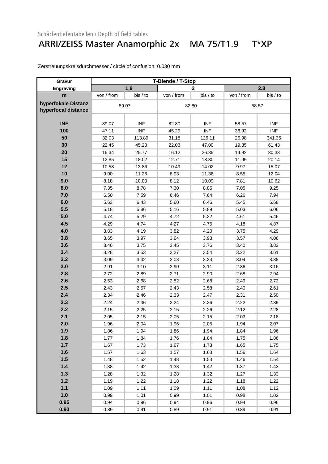### ARRI/ZEISS Master Anamorphic 2x MA 75/T1.9 T\*XP

| Gravur              | T-Blende / T-Stop |            |            |              |            |            |  |  |
|---------------------|-------------------|------------|------------|--------------|------------|------------|--|--|
| Engraving           |                   | 1.9        |            | $\mathbf{2}$ |            | 2.8        |  |  |
| m                   | von / from        | bis / to   | von / from | bis / to     | von / from | bis / to   |  |  |
| hyperfokale Distanz |                   | 89.07      |            |              |            | 58.57      |  |  |
| hyperfocal distance |                   |            | 82.80      |              |            |            |  |  |
|                     |                   |            |            |              |            |            |  |  |
| <b>INF</b>          | 89.07             | <b>INF</b> | 82.80      | <b>INF</b>   | 58.57      | <b>INF</b> |  |  |
| 100                 | 47.11             | <b>INF</b> | 45.29      | <b>INF</b>   | 36.92      | <b>INF</b> |  |  |
| 50                  | 32.03             | 113.89     | 31.18      | 126.11       | 26.98      | 341.35     |  |  |
| 30                  | 22.45             | 45.20      | 22.03      | 47.00        | 19.85      | 61.43      |  |  |
| 20                  | 16.34             | 25.77      | 16.12      | 26.35        | 14.92      | 30.33      |  |  |
| 15                  | 12.85             | 18.02      | 12.71      | 18.30        | 11.95      | 20.14      |  |  |
| 12                  | 10.58             | 13.86      | 10.49      | 14.02        | 9.97       | 15.07      |  |  |
| 10                  | 9.00              | 11.26      | 8.93       | 11.36        | 8.55       | 12.04      |  |  |
| 9.0                 | 8.18              | 10.00      | 8.12       | 10.09        | 7.81       | 10.62      |  |  |
| 8.0                 | 7.35              | 8.78       | 7.30       | 8.85         | 7.05       | 9.25       |  |  |
| 7.0                 | 6.50              | 7.59       | 6.46       | 7.64         | 6.26       | 7.94       |  |  |
| 6.0                 | 5.63              | 6.43       | 5.60       | 6.46         | 5.45       | 6.68       |  |  |
| 5.5                 | 5.18              | 5.86       | 5.16       | 5.89         | 5.03       | 6.06       |  |  |
| 5.0                 | 4.74              | 5.29       | 4.72       | 5.32         | 4.61       | 5.46       |  |  |
| 4.5                 | 4.29              | 4.74       | 4.27       | 4.75         | 4.18       | 4.87       |  |  |
| 4.0                 | 3.83              | 4.19       | 3.82       | 4.20         | 3.75       | 4.29       |  |  |
| 3.8                 | 3.65              | 3.97       | 3.64       | 3.98         | 3.57       | 4.06       |  |  |
| 3.6                 | 3.46              | 3.75       | 3.45       | 3.76         | 3.40       | 3.83       |  |  |
| 3.4                 | 3.28              | 3.53       | 3.27       | 3.54         | 3.22       | 3.61       |  |  |
| 3.2                 | 3.09              | 3.32       | 3.08       | 3.33         | 3.04       | 3.38       |  |  |
| 3.0                 | 2.91              | 3.10       | 2.90       | 3.11         | 2.86       | 3.16       |  |  |
| 2.8                 | 2.72              | 2.89       | 2.71       | 2.90         | 2.68       | 2.94       |  |  |
| 2.6                 | 2.53              | 2.68       | 2.52       | 2.68         | 2.49       | 2.72       |  |  |
| 2.5                 | 2.43              | 2.57       | 2.43       | 2.58         | 2.40       | 2.61       |  |  |
| 2.4                 | 2.34              | 2.46       | 2.33       | 2.47         | 2.31       | 2.50       |  |  |
| 2.3                 | 2.24              | 2.36       | 2.24       | 2.36         | 2.22       | 2.39       |  |  |
| 2.2                 | 2.15              | 2.25       | 2.15       | 2.26         | 2.12       | 2.28       |  |  |
| 2.1                 | 2.05              | 2.15       | 2.05       | 2.15         | 2.03       | 2.18       |  |  |
| 2.0                 | 1.96              | 2.04       | 1.96       | 2.05         | 1.94       | 2.07       |  |  |
| 1.9                 | 1.86              | 1.94       | 1.86       | 1.94         | 1.84       | 1.96       |  |  |
| 1.8                 | 1.77              | 1.84       | 1.76       | 1.84         | 1.75       | 1.86       |  |  |
| 1.7                 | 1.67              | 1.73       | 1.67       | 1.73         | 1.65       | 1.75       |  |  |
| 1.6                 | 1.57              | 1.63       | 1.57       | 1.63         | 1.56       | 1.64       |  |  |
| 1.5                 | 1.48              | 1.52       | 1.48       | 1.53         | 1.46       | 1.54       |  |  |
| $1.4$               | 1.38              | 1.42       | 1.38       | 1.42         | 1.37       | 1.43       |  |  |
| $1.3$               | 1.28              | 1.32       | 1.28       | 1.32         | 1.27       | 1.33       |  |  |
| $1.2$               | 1.19              | 1.22       | 1.18       | 1.22         | 1.18       | 1.22       |  |  |
| $1.1$               | 1.09              | 1.11       | 1.09       | 1.11         | 1.08       | 1.12       |  |  |
| 1.0                 | 0.99              | 1.01       | 0.99       | 1.01         | 0.98       | 1.02       |  |  |
| 0.95                | 0.94              | 0.96       | 0.94       | 0.96         | 0.94       | 0.96       |  |  |
| 0.90                | 0.89              | 0.91       | 0.89       | 0.91         | 0.89       | 0.91       |  |  |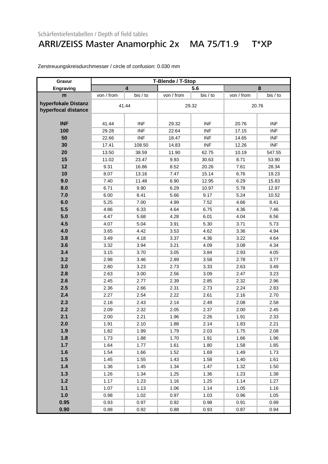### ARRI/ZEISS Master Anamorphic 2x MA 75/T1.9 T\*XP

| Gravur                                     | T-Blende / T-Stop |                         |            |            |            |            |  |  |
|--------------------------------------------|-------------------|-------------------------|------------|------------|------------|------------|--|--|
| Engraving                                  |                   | $\overline{\mathbf{4}}$ |            | 5.6        |            | 8          |  |  |
| m                                          | von / from        | bis / to                | von / from | bis / to   | von / from | bis / to   |  |  |
| hyperfokale Distanz<br>hyperfocal distance |                   | 41.44                   | 29.32      |            | 20.76      |            |  |  |
| <b>INF</b>                                 | 41.44             | <b>INF</b>              | 29.32      | <b>INF</b> | 20.76      | <b>INF</b> |  |  |
| 100                                        | 29.28             | <b>INF</b>              | 22.64      | <b>INF</b> | 17.15      | <b>INF</b> |  |  |
| 50                                         | 22.66             | <b>INF</b>              | 18.47      | <b>INF</b> | 14.65      | <b>INF</b> |  |  |
| 30                                         | 17.41             | 108.50                  | 14.83      | <b>INF</b> | 12.26      | <b>INF</b> |  |  |
| 20                                         | 13.50             | 38.59                   | 11.90      | 62.75      | 10.19      | 547.55     |  |  |
| 15                                         | 11.02             | 23.47                   | 9.93       | 30.63      | 8.71       | 53.90      |  |  |
| 12                                         | 9.31              | 16.86                   | 8.52       | 20.26      | 7.61       | 28.34      |  |  |
| 10                                         | 8.07              | 13.16                   | 7.47       | 15.14      | 6.76       | 19.23      |  |  |
| 9.0                                        | 7.40              | 11.48                   | 6.90       | 12.95      | 6.29       | 15.83      |  |  |
| 8.0                                        | 6.71              | 9.90                    | 6.29       | 10.97      | 5.78       | 12.97      |  |  |
| 7.0                                        | 6.00              | 8.41                    | 5.66       | 9.17       | 5.24       | 10.52      |  |  |
| 6.0                                        | 5.25              | 7.00                    | 4.99       | 7.52       | 4.66       | 8.41       |  |  |
| 5.5                                        | 4.86              | 6.33                    | 4.64       | 6.75       | 4.36       | 7.46       |  |  |
| 5.0                                        | 4.47              | 5.68                    | 4.28       | 6.01       | 4.04       | 6.56       |  |  |
| 4.5                                        | 4.07              | 5.04                    | 3.91       | 5.30       | 3.71       | 5.73       |  |  |
| 4.0                                        | 3.65              | 4.42                    | 3.53       | 4.62       | 3.36       | 4.94       |  |  |
| 3.8                                        | 3.49              | 4.18                    | 3.37       | 4.36       | 3.22       | 4.64       |  |  |
| 3.6                                        | 3.32              | 3.94                    | 3.21       | 4.09       | 3.08       | 4.34       |  |  |
| 3.4                                        | 3.15              | 3.70                    | 3.05       | 3.84       | 2.93       | 4.05       |  |  |
| 3.2                                        | 2.98              | 3.46                    | 2.89       | 3.58       | 2.78       | 3.77       |  |  |
| 3.0                                        | 2.80              | 3.23                    | 2.73       | 3.33       | 2.63       | 3.49       |  |  |
| 2.8                                        | 2.63              | 3.00                    | 2.56       | 3.09       | 2.47       | 3.23       |  |  |
| 2.6                                        | 2.45              | 2.77                    | 2.39       | 2.85       | 2.32       | 2.96       |  |  |
| 2.5                                        | 2.36              | 2.66                    | 2.31       | 2.73       | 2.24       | 2.83       |  |  |
| 2.4                                        | 2.27              | 2.54                    | 2.22       | 2.61       | 2.16       | 2.70       |  |  |
| 2.3                                        | 2.18              | 2.43                    | 2.14       | 2.49       | 2.08       | 2.58       |  |  |
| 2.2                                        | 2.09              | 2.32                    | 2.05       | 2.37       | 2.00       | 2.45       |  |  |
| 2.1                                        | 2.00              | 2.21                    | 1.96       | 2.26       | 1.91       | 2.33       |  |  |
| 2.0                                        | 1.91              | 2.10                    | 1.88       | 2.14       | 1.83       | 2.21       |  |  |
| 1.9                                        | 1.82              | 1.99                    | 1.79       | 2.03       | 1.75       | 2.08       |  |  |
| 1.8                                        | 1.73              | 1.88                    | 1.70       | 1.91       | 1.66       | 1.96       |  |  |
| 1.7                                        | 1.64              | 1.77                    | 1.61       | 1.80       | 1.58       | 1.85       |  |  |
| 1.6                                        | 1.54              | 1.66                    | 1.52       | 1.69       | 1.49       | 1.73       |  |  |
| 1.5                                        | 1.45              | 1.55                    | 1.43       | 1.58       | 1.40       | 1.61       |  |  |
| $1.4$                                      | 1.36              | 1.45                    | 1.34       | 1.47       | 1.32       | 1.50       |  |  |
| 1.3                                        | 1.26              | 1.34                    | 1.25       | 1.36       | 1.23       | 1.38       |  |  |
| $1.2$                                      | 1.17              | 1.23                    | 1.16       | 1.25       | 1.14       | 1.27       |  |  |
| $1.1$                                      | 1.07              | 1.13                    | 1.06       | 1.14       | 1.05       | 1.16       |  |  |
| 1.0                                        | 0.98              | 1.02                    | 0.97       | 1.03       | 0.96       | 1.05       |  |  |
| 0.95                                       | 0.93              | 0.97                    | 0.92       | 0.98       | 0.91       | 0.99       |  |  |
| 0.90                                       | 0.88              | 0.92                    | 0.88       | 0.93       | 0.87       | 0.94       |  |  |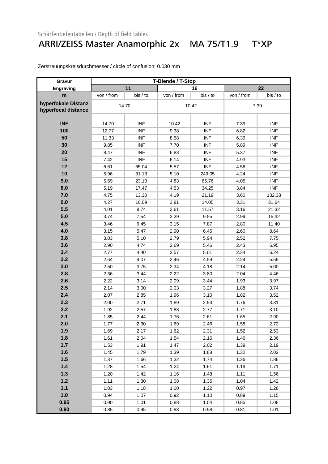### ARRI/ZEISS Master Anamorphic 2x MA 75/T1.9 T\*XP

| Gravur                                     | T-Blende / T-Stop |            |            |            |            |            |  |  |
|--------------------------------------------|-------------------|------------|------------|------------|------------|------------|--|--|
| Engraving                                  |                   | 11         |            | 16         |            | 22         |  |  |
| m                                          | von / from        | bis / to   | von / from | bis / to   | von / from | bis / to   |  |  |
| hyperfokale Distanz<br>hyperfocal distance |                   | 14.70      |            | 10.42      |            | 7.39       |  |  |
| <b>INF</b>                                 | 14.70             | <b>INF</b> | 10.42      | <b>INF</b> | 7.39       | <b>INF</b> |  |  |
| 100                                        | 12.77             | <b>INF</b> | 9.38       | <b>INF</b> | 6.82       | <b>INF</b> |  |  |
| 50                                         | 11.33             | <b>INF</b> | 8.58       | <b>INF</b> | 6.39       | <b>INF</b> |  |  |
| 30                                         | 9.85              | <b>INF</b> | 7.70       | <b>INF</b> | 5.89       | <b>INF</b> |  |  |
| 20                                         | 8.47              | <b>INF</b> | 6.83       | <b>INF</b> | 5.37       | <b>INF</b> |  |  |
| 15                                         | 7.42              | <b>INF</b> | 6.14       | <b>INF</b> | 4.93       | <b>INF</b> |  |  |
| 12                                         | 6.61              | 65.04      | 5.57       | <b>INF</b> | 4.56       | <b>INF</b> |  |  |
| 10                                         | 5.96              | 31.13      | 5.10       | 249.05     | 4.24       | <b>INF</b> |  |  |
| 9.0                                        | 5.59              | 23.10      | 4.83       | 65.76      | 4.05       | <b>INF</b> |  |  |
| 8.0                                        | 5.19              | 17.47      | 4.53       | 34.25      | 3.84       | <b>INF</b> |  |  |
| 7.0                                        | 4.75              | 13.30      | 4.19       | 21.19      | 3.60       | 132.38     |  |  |
| 6.0                                        | 4.27              | 10.09      | 3.81       | 14.05      | 3.31       | 31.64      |  |  |
| 5.5                                        | 4.01              | 8.74       | 3.61       | 11.57      | 3.16       | 21.32      |  |  |
| 5.0                                        | 3.74              | 7.54       | 3.39       | 9.55       | 2.99       | 15.32      |  |  |
| 4.5                                        | 3.46              | 6.45       | 3.15       | 7.87       | 2.80       | 11.40      |  |  |
| 4.0                                        | 3.15              | 5.47       | 2.90       | 6.45       | 2.60       | 8.64       |  |  |
| 3.8                                        | 3.03              | 5.10       | 2.79       | 5.94       | 2.52       | 7.75       |  |  |
| 3.6                                        | 2.90              | 4.74       | 2.69       | 5.46       | 2.43       | 6.95       |  |  |
| 3.4                                        | 2.77              | 4.40       | 2.57       | 5.01       | 2.34       | 6.24       |  |  |
| 3.2                                        | 2.64              | 4.07       | 2.46       | 4.59       | 2.24       | 5.59       |  |  |
| 3.0                                        | 2.50              | 3.75       | 2.34       | 4.18       | 2.14       | 5.00       |  |  |
| 2.8                                        | 2.36              | 3.44       | 2.22       | 3.80       | 2.04       | 4.46       |  |  |
| 2.6                                        | 2.22              | 3.14       | 2.09       | 3.44       | 1.93       | 3.97       |  |  |
| 2.5                                        | 2.14              | 3.00       | 2.03       | 3.27       | 1.88       | 3.74       |  |  |
| 2.4                                        | 2.07              | 2.85       | 1.96       | 3.10       | 1.82       | 3.52       |  |  |
| 2.3                                        | 2.00              | 2.71       | 1.89       | 2.93       | 1.76       | 3.31       |  |  |
| 2.2                                        | 1.92              | 2.57       | 1.83       | 2.77       | 1.71       | 3.10       |  |  |
| 2.1                                        | 1.85              | 2.44       | 1.76       | 2.61       | 1.65       | 2.90       |  |  |
| 2.0                                        | 1.77              | 2.30       | 1.69       | 2.46       | 1.58       | 2.72       |  |  |
| 1.9                                        | 1.69              | 2.17       | 1.62       | 2.31       | 1.52       | 2.53       |  |  |
| 1.8                                        | 1.61              | 2.04       | 1.54       | 2.16       | 1.46       | 2.36       |  |  |
| 1.7                                        | 1.53              | 1.91       | 1.47       | 2.02       | 1.39       | 2.19       |  |  |
| 1.6                                        | 1.45              | 1.79       | 1.39       | 1.88       | 1.32       | 2.02       |  |  |
| 1.5                                        | 1.37              | 1.66       | 1.32       | 1.74       | 1.26       | 1.86       |  |  |
| 1.4                                        | 1.28              | 1.54       | 1.24       | 1.61       | 1.19       | 1.71       |  |  |
| 1.3                                        | 1.20              | 1.42       | 1.16       | 1.48       | 1.11       | 1.56       |  |  |
| $1.2$                                      | 1.11              | 1.30       | 1.08       | 1.35       | 1.04       | 1.42       |  |  |
| $1.1$                                      | 1.03              | 1.18       | 1.00       | 1.22       | 0.97       | 1.28       |  |  |
| 1.0                                        | 0.94              | 1.07       | 0.92       | 1.10       | 0.89       | 1.15       |  |  |
| 0.95                                       | 0.90              | 1.01       | 0.88       | 1.04       | 0.85       | 1.08       |  |  |
| 0.90                                       | 0.85              | 0.95       | 0.83       | 0.98       | 0.81       | 1.01       |  |  |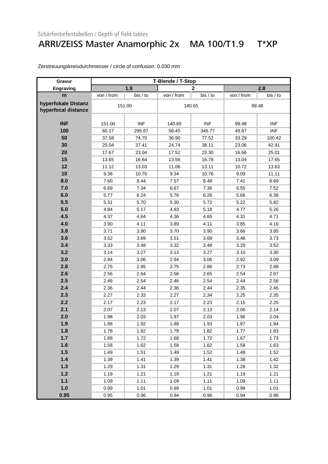### ARRI/ZEISS Master Anamorphic 2x MA 100/T1.9 T\*XP

| Gravur                                     | T-Blende / T-Stop |            |            |                |            |            |  |
|--------------------------------------------|-------------------|------------|------------|----------------|------------|------------|--|
| Engraving                                  |                   | 1.9        |            | $\overline{2}$ | 2.8        |            |  |
| m                                          | von / from        | bis / to   | von / from | bis / to       | von / from | bis / to   |  |
| hyperfokale Distanz<br>hyperfocal distance | 151.00            |            |            | 140.65         |            | 99.48      |  |
| <b>INF</b>                                 | 151.00            | <b>INF</b> | 140.65     | <b>INF</b>     | 99.48      | <b>INF</b> |  |
| 100                                        | 60.17             | 295.87     | 58.45      | 345.77         | 49.87      | <b>INF</b> |  |
| 50                                         | 37.58             | 74.70      | 36.90      | 77.52          | 33.29      | 100.42     |  |
| 30                                         | 25.04             | 37.41      | 24.74      | 38.11          | 23.06      | 42.91      |  |
| 20                                         | 17.67             | 23.04      | 17.52      | 23.30          | 16.66      | 25.01      |  |
| 15                                         | 13.65             | 16.64      | 13.56      | 16.78          | 13.04      | 17.65      |  |
| 12                                         | 11.12             | 13.03      | 11.06      | 13.11          | 10.72      | 13.63      |  |
| 10                                         | 9.38              | 10.70      | 9.34       | 10.76          | 9.09       | 11.11      |  |
| 8.0                                        | 7.60              | 8.44       | 7.57       | 8.48           | 7.41       | 8.69       |  |
| 7.0                                        | 6.69              | 7.34       | 6.67       | 7.36           | 6.55       | 7.52       |  |
| 6.0                                        | 5.77              | 6.24       | 5.76       | 6.26           | 5.66       | 6.38       |  |
| 5.5                                        | 5.31              | 5.70       | 5.30       | 5.72           | 5.22       | 5.82       |  |
| 5.0                                        | 4.84              | 5.17       | 4.83       | 5.18           | 4.77       | 5.26       |  |
| 4.5                                        | 4.37              | 4.64       | 4.36       | 4.65           | 4.31       | 4.71       |  |
| 4.0                                        | 3.90              | 4.11       | 3.89       | 4.11           | 3.85       | 4.16       |  |
| 3.8                                        | 3.71              | 3.90       | 3.70       | 3.90           | 3.66       | 3.95       |  |
| 3.6                                        | 3.52              | 3.69       | 3.51       | 3.69           | 3.48       | 3.73       |  |
| 3.4                                        | 3.33              | 3.48       | 3.32       | 3.48           | 3.29       | 3.52       |  |
| 3.2                                        | 3.14              | 3.27       | 3.13       | 3.27           | 3.10       | 3.30       |  |
| 3.0                                        | 2.94              | 3.06       | 2.94       | 3.06           | 2.92       | 3.09       |  |
| 2.8                                        | 2.75              | 2.85       | 2.75       | 2.86           | 2.73       | 2.88       |  |
| 2.6                                        | 2.56              | 2.64       | 2.56       | 2.65           | 2.54       | 2.67       |  |
| 2.5                                        | 2.46              | 2.54       | 2.46       | 2.54           | 2.44       | 2.56       |  |
| 2.4                                        | 2.36              | 2.44       | 2.36       | 2.44           | 2.35       | 2.46       |  |
| 2.3                                        | 2.27              | 2.33       | 2.27       | 2.34           | 2.25       | 2.35       |  |
| 2.2                                        | 2.17              | 2.23       | 2.17       | 2.23           | 2.15       | 2.25       |  |
| 2.1                                        | 2.07              | 2.13       | 2.07       | 2.13           | 2.06       | 2.14       |  |
| 2.0                                        | 1.98              | 2.03       | 1.97       | 2.03           | 1.96       | 2.04       |  |
| 1.9                                        | 1.88              | 1.92       | 1.88       | 1.93           | 1.87       | 1.94       |  |
| 1.8                                        | 1.78              | 1.82       | 1.78       | 1.82           | 1.77       | 1.83       |  |
| 1.7                                        | 1.68              | 1.72       | 1.68       | 1.72           | 1.67       | 1.73       |  |
| 1.6                                        | 1.58              | 1.62       | 1.58       | 1.62           | 1.58       | 1.63       |  |
| 1.5                                        | 1.49              | 1.51       | 1.49       | 1.52           | 1.48       | 1.52       |  |
| $1.4$                                      | 1.39              | 1.41       | 1.39       | 1.41           | 1.38       | 1.42       |  |
| 1.3                                        | 1.29              | 1.31       | 1.29       | 1.31           | 1.28       | 1.32       |  |
| $1.2$                                      | 1.19              | 1.21       | 1.19       | 1.21           | 1.19       | 1.21       |  |
| $1.1$                                      | 1.09              | 1.11       | 1.09       | 1.11           | 1.09       | 1.11       |  |
| 1.0                                        | 0.99              | 1.01       | 0.99       | 1.01           | 0.99       | 1.01       |  |
| 0.95                                       | 0.95              | 0.96       | 0.94       | 0.96           | 0.94       | 0.96       |  |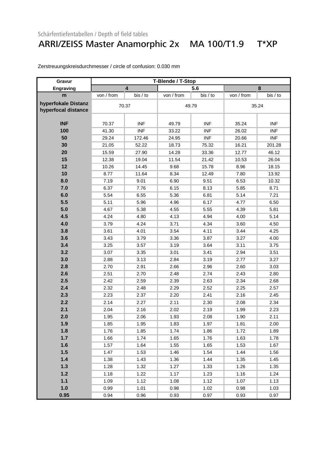#### ARRI/ZEISS Master Anamorphic 2x MA 100/T1.9 T\*XP

| Gravur                                     |            |            | T-Blende / T-Stop |            |            |            |  |
|--------------------------------------------|------------|------------|-------------------|------------|------------|------------|--|
| Engraving                                  |            | 4          |                   | 5.6        |            | 8          |  |
| m                                          | von / from | bis / to   | von / from        | bis / to   | von / from | bis / to   |  |
| hyperfokale Distanz<br>hyperfocal distance | 70.37      |            |                   | 49.79      |            | 35.24      |  |
|                                            |            |            |                   |            |            |            |  |
| <b>INF</b>                                 | 70.37      | <b>INF</b> | 49.79             | <b>INF</b> | 35.24      | <b>INF</b> |  |
| 100                                        | 41.30      | <b>INF</b> | 33.22             | <b>INF</b> | 26.02      | <b>INF</b> |  |
| 50                                         | 29.24      | 172.46     | 24.95             | <b>INF</b> | 20.66      | <b>INF</b> |  |
| 30                                         | 21.05      | 52.22      | 18.73             | 75.32      | 16.21      | 201.28     |  |
| 20                                         | 15.59      | 27.90      | 14.28             | 33.36      | 12.77      | 46.12      |  |
| 15                                         | 12.38      | 19.04      | 11.54             | 21.42      | 10.53      | 26.04      |  |
| 12                                         | 10.26      | 14.45      | 9.68              | 15.78      | 8.96       | 18.15      |  |
| 10                                         | 8.77       | 11.64      | 8.34              | 12.49      | 7.80       | 13.92      |  |
| 8.0                                        | 7.19       | 9.01       | 6.90              | 9.51       | 6.53       | 10.32      |  |
| 7.0                                        | 6.37       | 7.76       | 6.15              | 8.13       | 5.85       | 8.71       |  |
| 6.0                                        | 5.54       | 6.55       | 5.36              | 6.81       | 5.14       | 7.21       |  |
| 5.5                                        | 5.11       | 5.96       | 4.96              | 6.17       | 4.77       | 6.50       |  |
| 5.0                                        | 4.67       | 5.38       | 4.55              | 5.55       | 4.39       | 5.81       |  |
| 4.5                                        | 4.24       | 4.80       | 4.13              | 4.94       | 4.00       | 5.14       |  |
| 4.0                                        | 3.79       | 4.24       | 3.71              | 4.34       | 3.60       | 4.50       |  |
| 3.8                                        | 3.61       | 4.01       | 3.54              | 4.11       | 3.44       | 4.25       |  |
| 3.6                                        | 3.43       | 3.79       | 3.36              | 3.87       | 3.27       | 4.00       |  |
| 3.4                                        | 3.25       | 3.57       | 3.19              | 3.64       | 3.11       | 3.75       |  |
| 3.2                                        | 3.07       | 3.35       | 3.01              | 3.41       | 2.94       | 3.51       |  |
| 3.0                                        | 2.88       | 3.13       | 2.84              | 3.19       | 2.77       | 3.27       |  |
| 2.8                                        | 2.70       | 2.91       | 2.66              | 2.96       | 2.60       | 3.03       |  |
| 2.6                                        | 2.51       | 2.70       | 2.48              | 2.74       | 2.43       | 2.80       |  |
| 2.5                                        | 2.42       | 2.59       | 2.39              | 2.63       | 2.34       | 2.68       |  |
| 2.4                                        | 2.32       | 2.48       | 2.29              | 2.52       | 2.25       | 2.57       |  |
| 2.3                                        | 2.23       | 2.37       | 2.20              | 2.41       | 2.16       | 2.45       |  |
| 2.2                                        | 2.14       | 2.27       | 2.11              | 2.30       | 2.08       | 2.34       |  |
| 2.1                                        | 2.04       | 2.16       | 2.02              | 2.19       | 1.99       | 2.23       |  |
| 2.0                                        | 1.95       | 2.06       | 1.93              | 2.08       | 1.90       | 2.11       |  |
| 1.9                                        | 1.85       | 1.95       | 1.83              | 1.97       | 1.81       | 2.00       |  |
| 1.8                                        | 1.76       | 1.85       | 1.74              | 1.86       | 1.72       | 1.89       |  |
| 1.7                                        | 1.66       | 1.74       | 1.65              | 1.76       | 1.63       | 1.78       |  |
| 1.6                                        | 1.57       | 1.64       | 1.55              | 1.65       | 1.53       | 1.67       |  |
| 1.5                                        | 1.47       | 1.53       | 1.46              | 1.54       | 1.44       | 1.56       |  |
| $1.4$                                      | 1.38       | 1.43       | 1.36              | 1.44       | 1.35       | 1.45       |  |
| 1.3                                        | 1.28       | 1.32       | 1.27              | 1.33       | 1.26       | 1.35       |  |
| $1.2$                                      | 1.18       | 1.22       | 1.17              | 1.23       | 1.16       | 1.24       |  |
| $1.1$                                      | 1.09       | 1.12       | 1.08              | 1.12       | 1.07       | 1.13       |  |
| 1.0                                        | 0.99       | 1.01       | 0.98              | 1.02       | 0.98       | 1.03       |  |
| 0.95                                       | 0.94       | 0.96       | 0.93              | 0.97       | 0.93       | 0.97       |  |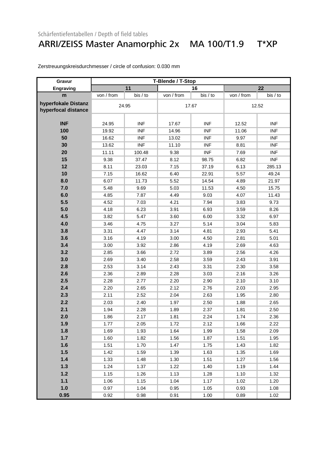#### ARRI/ZEISS Master Anamorphic 2x MA 100/T1.9 T\*XP

| Gravur                                     | T-Blende / T-Stop |            |            |            |            |            |  |
|--------------------------------------------|-------------------|------------|------------|------------|------------|------------|--|
| Engraving                                  |                   | 11         |            | 16         |            | 22         |  |
| m                                          | von / from        | bis / to   | von / from | bis / to   | von / from | bis / to   |  |
| hyperfokale Distanz<br>hyperfocal distance |                   | 24.95      |            | 17.67      | 12.52      |            |  |
| <b>INF</b>                                 | 24.95             | <b>INF</b> | 17.67      | <b>INF</b> | 12.52      | <b>INF</b> |  |
| 100                                        | 19.92             | <b>INF</b> | 14.96      | <b>INF</b> | 11.06      | <b>INF</b> |  |
| 50                                         | 16.62             | <b>INF</b> | 13.02      | <b>INF</b> | 9.97       | <b>INF</b> |  |
| 30                                         | 13.62             | <b>INF</b> | 11.10      | <b>INF</b> | 8.81       | <b>INF</b> |  |
| 20                                         | 11.11             | 100.48     | 9.38       | <b>INF</b> | 7.69       | <b>INF</b> |  |
| 15                                         | 9.38              | 37.47      | 8.12       | 98.75      | 6.82       | <b>INF</b> |  |
| 12                                         | 8.11              | 23.03      | 7.15       | 37.19      | 6.13       | 285.13     |  |
| 10                                         | 7.15              | 16.62      | 6.40       | 22.91      | 5.57       | 49.24      |  |
| 8.0                                        | 6.07              | 11.73      | 5.52       | 14.54      | 4.89       | 21.97      |  |
| 7.0                                        | 5.48              | 9.69       | 5.03       | 11.53      | 4.50       | 15.75      |  |
| 6.0                                        | 4.85              | 7.87       | 4.49       | 9.03       | 4.07       | 11.43      |  |
| 5.5                                        | 4.52              | 7.03       | 4.21       | 7.94       | 3.83       | 9.73       |  |
| 5.0                                        | 4.18              | 6.23       | 3.91       | 6.93       | 3.59       | 8.26       |  |
| 4.5                                        | 3.82              | 5.47       | 3.60       | 6.00       | 3.32       | 6.97       |  |
| 4.0                                        | 3.46              | 4.75       | 3.27       | 5.14       | 3.04       | 5.83       |  |
| 3.8                                        | 3.31              | 4.47       | 3.14       | 4.81       | 2.93       | 5.41       |  |
| 3.6                                        | 3.16              | 4.19       | 3.00       | 4.50       | 2.81       | 5.01       |  |
| 3.4                                        | 3.00              | 3.92       | 2.86       | 4.19       | 2.69       | 4.63       |  |
| 3.2                                        | 2.85              | 3.66       | 2.72       | 3.89       | 2.56       | 4.26       |  |
| 3.0                                        | 2.69              | 3.40       | 2.58       | 3.59       | 2.43       | 3.91       |  |
| 2.8                                        | 2.53              | 3.14       | 2.43       | 3.31       | 2.30       | 3.58       |  |
| 2.6                                        | 2.36              | 2.89       | 2.28       | 3.03       | 2.16       | 3.26       |  |
| 2.5                                        | 2.28              | 2.77       | 2.20       | 2.90       | 2.10       | 3.10       |  |
| 2.4                                        | 2.20              | 2.65       | 2.12       | 2.76       | 2.03       | 2.95       |  |
| 2.3                                        | 2.11              | 2.52       | 2.04       | 2.63       | 1.95       | 2.80       |  |
| 2.2                                        | 2.03              | 2.40       | 1.97       | 2.50       | 1.88       | 2.65       |  |
| 2.1                                        | 1.94              | 2.28       | 1.89       | 2.37       | 1.81       | 2.50       |  |
| 2.0                                        | 1.86              | 2.17       | 1.81       | 2.24       | 1.74       | 2.36       |  |
| 1.9                                        | 1.77              | 2.05       | 1.72       | 2.12       | 1.66       | 2.22       |  |
| 1.8                                        | 1.69              | 1.93       | 1.64       | 1.99       | 1.58       | 2.09       |  |
| 1.7                                        | 1.60              | 1.82       | 1.56       | 1.87       | 1.51       | 1.95       |  |
| 1.6                                        | 1.51              | 1.70       | 1.47       | 1.75       | 1.43       | 1.82       |  |
| 1.5                                        | 1.42              | 1.59       | 1.39       | 1.63       | 1.35       | 1.69       |  |
| 1.4                                        | 1.33              | 1.48       | 1.30       | 1.51       | 1.27       | 1.56       |  |
| 1.3                                        | 1.24              | 1.37       | 1.22       | 1.40       | 1.19       | 1.44       |  |
| 1.2                                        | 1.15              | 1.26       | 1.13       | 1.28       | 1.10       | 1.32       |  |
| $1.1$                                      | 1.06              | 1.15       | 1.04       | 1.17       | 1.02       | 1.20       |  |
| 1.0                                        | 0.97              | 1.04       | 0.95       | 1.05       | 0.93       | 1.08       |  |
| 0.95                                       | 0.92              | 0.98       | 0.91       | 1.00       | 0.89       | 1.02       |  |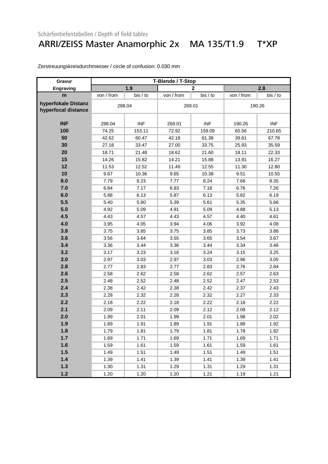### ARRI/ZEISS Master Anamorphic 2x MA 135/T1.9 T\*XP

| Gravur                                     |            |            | T-Blende / T-Stop |                |            |            |
|--------------------------------------------|------------|------------|-------------------|----------------|------------|------------|
| Engraving                                  |            | 1.9        |                   | $\overline{2}$ |            | 2.8        |
| m                                          | von / from | bis / to   | von / from        | bis / to       | von / from | bis / to   |
| hyperfokale Distanz<br>hyperfocal distance | 288.04     |            | 269.01            |                | 190.26     |            |
| <b>INF</b>                                 | 288.04     | <b>INF</b> | 269.01            | <b>INF</b>     | 190.26     | <b>INF</b> |
| 100                                        | 74.25      | 153.11     | 72.92             | 159.09         | 65.56      | 210.65     |
| 50                                         | 42.62      | 60.47      | 42.18             | 61.38          | 39.61      | 67.78      |
| 30                                         | 27.18      | 33.47      | 27.00             | 33.75          | 25.93      | 35.59      |
| 20                                         | 18.71      | 21.48      | 18.62             | 21.60          | 18.11      | 22.33      |
| 15                                         | 14.26      | 15.82      | 14.21             | 15.88          | 13.91      | 16.27      |
| 12                                         | 11.53      | 12.52      | 11.49             | 12.55          | 11.30      | 12.80      |
| 10                                         | 9.67       | 10.36      | 9.65              | 10.38          | 9.51       | 10.55      |
| 8.0                                        | 7.79       | 8.23       | 7.77              | 8.24           | 7.68       | 8.35       |
| 7.0                                        | 6.84       | 7.17       | 6.83              | 7.18           | 6.76       | 7.26       |
| 6.0                                        | 5.88       | 6.13       | 5.87              | 6.13           | 5.82       | 6.19       |
| 5.5                                        | 5.40       | 5.60       | 5.39              | 5.61           | 5.35       | 5.66       |
| 5.0                                        | 4.92       | 5.09       | 4.91              | 5.09           | 4.88       | 5.13       |
| 4.5                                        | 4.43       | 4.57       | 4.43              | 4.57           | 4.40       | 4.61       |
| 4.0                                        | 3.95       | 4.05       | 3.94              | 4.06           | 3.92       | 4.08       |
| 3.8                                        | 3.75       | 3.85       | 3.75              | 3.85           | 3.73       | 3.88       |
| 3.6                                        | 3.56       | 3.64       | 3.55              | 3.65           | 3.54       | 3.67       |
| 3.4                                        | 3.36       | 3.44       | 3.36              | 3.44           | 3.34       | 3.46       |
| 3.2                                        | 3.17       | 3.23       | 3.16              | 3.24           | 3.15       | 3.25       |
| 3.0                                        | 2.97       | 3.03       | 2.97              | 3.03           | 2.96       | 3.05       |
| 2.8                                        | 2.77       | 2.83       | 2.77              | 2.83           | 2.76       | 2.84       |
| 2.6                                        | 2.58       | 2.62       | 2.58              | 2.62           | 2.57       | 2.63       |
| 2.5                                        | 2.48       | 2.52       | 2.48              | 2.52           | 2.47       | 2.53       |
| 2.4                                        | 2.38       | 2.42       | 2.38              | 2.42           | 2.37       | 2.43       |
| 2.3                                        | 2.28       | 2.32       | 2.28              | 2.32           | 2.27       | 2.33       |
| 2.2                                        | 2.18       | 2.22       | 2.18              | 2.22           | 2.18       | 2.22       |
| 2.1                                        | 2.09       | 2.11       | 2.09              | 2.12           | 2.08       | 2.12       |
| 2.0                                        | 1.99       | 2.01       | 1.99              | 2.01           | 1.98       | 2.02       |
| 1.9                                        | 1.89       | 1.91       | 1.89              | 1.91           | 1.88       | 1.92       |
| 1.8                                        | 1.79       | 1.81       | 1.79              | 1.81           | 1.78       | 1.82       |
| 1.7                                        | 1.69       | 1.71       | 1.69              | 1.71           | 1.69       | 1.71       |
| 1.6                                        | 1.59       | 1.61       | 1.59              | 1.61           | 1.59       | 1.61       |
| 1.5                                        | 1.49       | 1.51       | 1.49              | 1.51           | 1.49       | 1.51       |
| 1.4                                        | 1.39       | 1.41       | 1.39              | 1.41           | 1.39       | 1.41       |
| 1.3                                        | 1.30       | 1.31       | 1.29              | 1.31           | 1.29       | 1.31       |
| $1.2$                                      | 1.20       | 1.20       | 1.20              | 1.21           | 1.19       | 1.21       |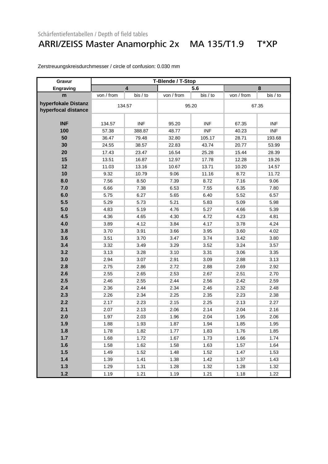#### ARRI/ZEISS Master Anamorphic 2x MA 135/T1.9 T\*XP

| Gravur                                     | T-Blende / T-Stop |            |            |            |            |            |  |
|--------------------------------------------|-------------------|------------|------------|------------|------------|------------|--|
| <b>Engraving</b>                           |                   | 4          |            | 5.6        |            | 8          |  |
| m                                          | von / from        | bis / to   | von / from | bis / to   | von / from | bis / to   |  |
| hyperfokale Distanz<br>hyperfocal distance | 134.57            |            |            | 95.20      |            | 67.35      |  |
| <b>INF</b>                                 | 134.57            | <b>INF</b> | 95.20      | <b>INF</b> | 67.35      | <b>INF</b> |  |
| 100                                        | 57.38             | 388.87     | 48.77      | <b>INF</b> | 40.23      | <b>INF</b> |  |
| 50                                         | 36.47             | 79.48      | 32.80      | 105.17     | 28.71      | 193.68     |  |
| 30                                         | 24.55             | 38.57      | 22.83      | 43.74      | 20.77      | 53.99      |  |
| 20                                         | 17.43             | 23.47      | 16.54      | 25.28      | 15.44      | 28.39      |  |
| 15                                         | 13.51             | 16.87      | 12.97      | 17.78      | 12.28      | 19.26      |  |
| 12                                         | 11.03             | 13.16      | 10.67      | 13.71      | 10.20      | 14.57      |  |
| 10                                         | 9.32              | 10.79      | 9.06       | 11.16      | 8.72       | 11.72      |  |
| 8.0                                        | 7.56              | 8.50       | 7.39       | 8.72       | 7.16       | 9.06       |  |
| 7.0                                        | 6.66              | 7.38       | 6.53       | 7.55       | 6.35       | 7.80       |  |
| 6.0                                        | 5.75              | 6.27       | 5.65       | 6.40       | 5.52       | 6.57       |  |
| 5.5                                        | 5.29              | 5.73       | 5.21       | 5.83       | 5.09       | 5.98       |  |
| 5.0                                        | 4.83              | 5.19       | 4.76       | 5.27       | 4.66       | 5.39       |  |
| 4.5                                        | 4.36              | 4.65       | 4.30       | 4.72       | 4.23       | 4.81       |  |
| 4.0                                        | 3.89              | 4.12       | 3.84       | 4.17       | 3.78       | 4.24       |  |
| 3.8                                        | 3.70              | 3.91       | 3.66       | 3.95       | 3.60       | 4.02       |  |
| 3.6                                        | 3.51              | 3.70       | 3.47       | 3.74       | 3.42       | 3.80       |  |
| 3.4                                        | 3.32              | 3.49       | 3.29       | 3.52       | 3.24       | 3.57       |  |
| 3.2                                        | 3.13              | 3.28       | 3.10       | 3.31       | 3.06       | 3.35       |  |
| 3.0                                        | 2.94              | 3.07       | 2.91       | 3.09       | 2.88       | 3.13       |  |
| 2.8                                        | 2.75              | 2.86       | 2.72       | 2.88       | 2.69       | 2.92       |  |
| 2.6                                        | 2.55              | 2.65       | 2.53       | 2.67       | 2.51       | 2.70       |  |
| 2.5                                        | 2.46              | 2.55       | 2.44       | 2.56       | 2.42       | 2.59       |  |
| 2.4                                        | 2.36              | 2.44       | 2.34       | 2.46       | 2.32       | 2.48       |  |
| 2.3                                        | 2.26              | 2.34       | 2.25       | 2.35       | 2.23       | 2.38       |  |
| 2.2                                        | 2.17              | 2.23       | 2.15       | 2.25       | 2.13       | 2.27       |  |
| 2.1                                        | 2.07              | 2.13       | 2.06       | 2.14       | 2.04       | 2.16       |  |
| 2.0                                        | 1.97              | 2.03       | 1.96       | 2.04       | 1.95       | 2.06       |  |
| 1.9                                        | 1.88              | 1.93       | 1.87       | 1.94       | 1.85       | 1.95       |  |
| 1.8                                        | 1.78              | 1.82       | 1.77       | 1.83       | 1.76       | 1.85       |  |
| 1.7                                        | 1.68              | 1.72       | 1.67       | 1.73       | 1.66       | 1.74       |  |
| 1.6                                        | 1.58              | 1.62       | 1.58       | 1.63       | 1.57       | 1.64       |  |
| 1.5                                        | 1.49              | 1.52       | 1.48       | 1.52       | 1.47       | 1.53       |  |
| 1.4                                        | 1.39              | 1.41       | 1.38       | 1.42       | 1.37       | 1.43       |  |
| $1.3$                                      | 1.29              | 1.31       | 1.28       | 1.32       | 1.28       | 1.32       |  |
| $1.2$                                      | 1.19              | 1.21       | 1.19       | 1.21       | 1.18       | 1.22       |  |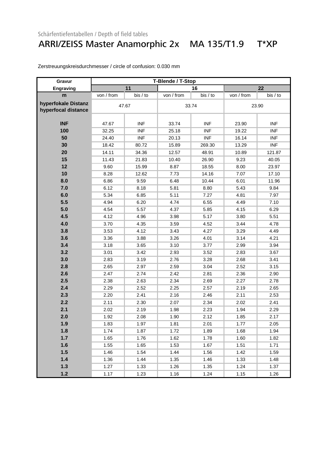#### ARRI/ZEISS Master Anamorphic 2x MA 135/T1.9 T\*XP

| Gravur                                     | T-Blende / T-Stop |            |            |            |            |            |
|--------------------------------------------|-------------------|------------|------------|------------|------------|------------|
| Engraving                                  | 11                |            | 16         |            | 22         |            |
| m                                          | von / from        | bis / to   | von / from | bis / to   | von / from | bis / to   |
| hyperfokale Distanz<br>hyperfocal distance | 47.67             |            | 33.74      |            | 23.90      |            |
| <b>INF</b>                                 | 47.67             | <b>INF</b> | 33.74      | <b>INF</b> | 23.90      | <b>INF</b> |
| 100                                        | 32.25             | <b>INF</b> | 25.18      | <b>INF</b> | 19.22      | <b>INF</b> |
| 50                                         | 24.40             | <b>INF</b> | 20.13      | <b>INF</b> | 16.14      | <b>INF</b> |
| 30                                         | 18.42             | 80.72      | 15.89      | 269.30     | 13.29      | <b>INF</b> |
| 20                                         | 14.11             | 34.36      | 12.57      | 48.91      | 10.89      | 121.87     |
| 15                                         | 11.43             | 21.83      | 10.40      | 26.90      | 9.23       | 40.05      |
| 12                                         | 9.60              | 15.99      | 8.87       | 18.55      | 8.00       | 23.97      |
| 10                                         | 8.28              | 12.62      | 7.73       | 14.16      | 7.07       | 17.10      |
| 8.0                                        | 6.86              | 9.59       | 6.48       | 10.44      | 6.01       | 11.96      |
| 7.0                                        | 6.12              | 8.18       | 5.81       | 8.80       | 5.43       | 9.84       |
| 6.0                                        | 5.34              | 6.85       | 5.11       | 7.27       | 4.81       | 7.97       |
| 5.5                                        | 4.94              | 6.20       | 4.74       | 6.55       | 4.49       | 7.10       |
| 5.0                                        | 4.54              | 5.57       | 4.37       | 5.85       | 4.15       | 6.29       |
| 4.5                                        | 4.12              | 4.96       | 3.98       | 5.17       | 3.80       | 5.51       |
| 4.0                                        | 3.70              | 4.35       | 3.59       | 4.52       | 3.44       | 4.78       |
| 3.8                                        | 3.53              | 4.12       | 3.43       | 4.27       | 3.29       | 4.49       |
| 3.6                                        | 3.36              | 3.88       | 3.26       | 4.01       | 3.14       | 4.21       |
| 3.4                                        | 3.18              | 3.65       | 3.10       | 3.77       | 2.99       | 3.94       |
| 3.2                                        | 3.01              | 3.42       | 2.93       | 3.52       | 2.83       | 3.67       |
| 3.0                                        | 2.83              | 3.19       | 2.76       | 3.28       | 2.68       | 3.41       |
| 2.8                                        | 2.65              | 2.97       | 2.59       | 3.04       | 2.52       | 3.15       |
| 2.6                                        | 2.47              | 2.74       | 2.42       | 2.81       | 2.36       | 2.90       |
| 2.5                                        | 2.38              | 2.63       | 2.34       | 2.69       | 2.27       | 2.78       |
| 2.4                                        | 2.29              | 2.52       | 2.25       | 2.57       | 2.19       | 2.65       |
| 2.3                                        | 2.20              | 2.41       | 2.16       | 2.46       | 2.11       | 2.53       |
| 2.2                                        | 2.11              | 2.30       | 2.07       | 2.34       | 2.02       | 2.41       |
| 2.1                                        | 2.02              | 2.19       | 1.98       | 2.23       | 1.94       | 2.29       |
| 2.0                                        | 1.92              | 2.08       | 1.90       | 2.12       | 1.85       | 2.17       |
| 1.9                                        | 1.83              | 1.97       | 1.81       | 2.01       | 1.77       | 2.05       |
| 1.8                                        | 1.74              | 1.87       | 1.72       | 1.89       | 1.68       | 1.94       |
| 1.7                                        | 1.65              | 1.76       | 1.62       | 1.78       | 1.60       | 1.82       |
| 1.6                                        | 1.55              | 1.65       | 1.53       | 1.67       | 1.51       | 1.71       |
| 1.5                                        | 1.46              | 1.54       | 1.44       | 1.56       | 1.42       | 1.59       |
| $1.4$                                      | 1.36              | 1.44       | 1.35       | 1.46       | 1.33       | 1.48       |
| 1.3                                        | 1.27              | 1.33       | 1.26       | 1.35       | 1.24       | 1.37       |
| $1.2$                                      | 1.17              | 1.23       | 1.16       | 1.24       | 1.15       | 1.26       |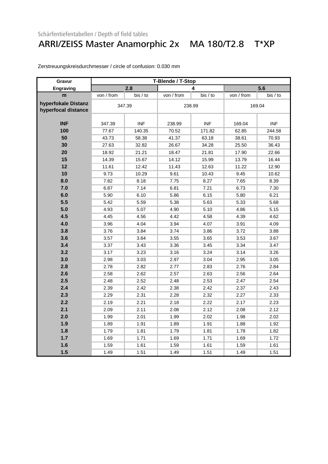### ARRI/ZEISS Master Anamorphic 2x MA 180/T2.8 T\*XP

| Gravur              | T-Blende / T-Stop |            |            |            |            |            |
|---------------------|-------------------|------------|------------|------------|------------|------------|
| Engraving           | 2.8               |            | 4          |            | 5.6        |            |
| m                   | von / from        | bis / to   | von / from | bis / to   | von / from | bis / to   |
| hyperfokale Distanz | 347.39            |            | 238.99     |            | 169.04     |            |
| hyperfocal distance |                   |            |            |            |            |            |
|                     |                   |            |            |            |            |            |
| <b>INF</b>          | 347.39            | <b>INF</b> | 238.99     | <b>INF</b> | 169.04     | <b>INF</b> |
| 100                 | 77.67             | 140.35     | 70.52      | 171.82     | 62.85      | 244.58     |
| 50                  | 43.73             | 58.38      | 41.37      | 63.18      | 38.61      | 70.93      |
| 30                  | 27.63             | 32.82      | 26.67      | 34.28      | 25.50      | 36.43      |
| 20                  | 18.92             | 21.21      | 18.47      | 21.81      | 17.90      | 22.66      |
| 15                  | 14.39             | 15.67      | 14.12      | 15.99      | 13.79      | 16.44      |
| 12                  | 11.61             | 12.42      | 11.43      | 12.63      | 11.22      | 12.90      |
| 10                  | 9.73              | 10.29      | 9.61       | 10.43      | 9.45       | 10.62      |
| 8.0                 | 7.82              | 8.18       | 7.75       | 8.27       | 7.65       | 8.39       |
| 7.0                 | 6.87              | 7.14       | 6.81       | 7.21       | 6.73       | 7.30       |
| 6.0                 | 5.90              | 6.10       | 5.86       | 6.15       | 5.80       | 6.21       |
| 5.5                 | 5.42              | 5.59       | 5.38       | 5.63       | 5.33       | 5.68       |
| 5.0                 | 4.93              | 5.07       | 4.90       | 5.10       | 4.86       | 5.15       |
| 4.5                 | 4.45              | 4.56       | 4.42       | 4.58       | 4.39       | 4.62       |
| 4.0                 | 3.96              | 4.04       | 3.94       | 4.07       | 3.91       | 4.09       |
| 3.8                 | 3.76              | 3.84       | 3.74       | 3.86       | 3.72       | 3.88       |
| 3.6                 | 3.57              | 3.64       | 3.55       | 3.65       | 3.53       | 3.67       |
| 3.4                 | 3.37              | 3.43       | 3.36       | 3.45       | 3.34       | 3.47       |
| 3.2                 | 3.17              | 3.23       | 3.16       | 3.24       | 3.14       | 3.26       |
| 3.0                 | 2.98              | 3.03       | 2.97       | 3.04       | 2.95       | 3.05       |
| 2.8                 | 2.78              | 2.82       | 2.77       | 2.83       | 2.76       | 2.84       |
| 2.6                 | 2.58              | 2.62       | 2.57       | 2.63       | 2.56       | 2.64       |
| 2.5                 | 2.48              | 2.52       | 2.48       | 2.53       | 2.47       | 2.54       |
| 2.4                 | 2.39              | 2.42       | 2.38       | 2.42       | 2.37       | 2.43       |
| 2.3                 | 2.29              | 2.31       | 2.28       | 2.32       | 2.27       | 2.33       |
| 2.2                 | 2.19              | 2.21       | 2.18       | 2.22       | 2.17       | 2.23       |
| 2.1                 | 2.09              | 2.11       | 2.08       | 2.12       | 2.08       | 2.12       |
| 2.0                 | 1.99              | 2.01       | 1.99       | 2.02       | 1.98       | 2.02       |
| 1.9                 | 1.89              | 1.91       | 1.89       | 1.91       | 1.88       | 1.92       |
| 1.8                 | 1.79              | 1.81       | 1.79       | 1.81       | 1.78       | 1.82       |
| 1.7                 | 1.69              | 1.71       | 1.69       | 1.71       | 1.69       | 1.72       |
| 1.6                 | 1.59              | 1.61       | 1.59       | 1.61       | 1.59       | 1.61       |
| 1.5                 | 1.49              | 1.51       | 1.49       | 1.51       | 1.49       | 1.51       |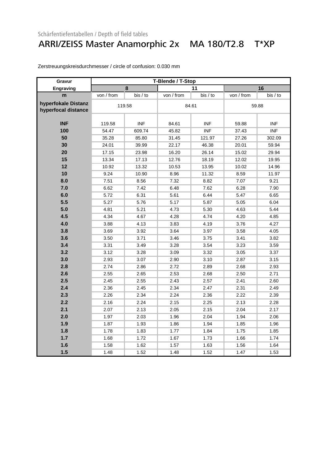### ARRI/ZEISS Master Anamorphic 2x MA 180/T2.8 T\*XP

| Gravur              | T-Blende / T-Stop |            |            |            |            |            |
|---------------------|-------------------|------------|------------|------------|------------|------------|
| Engraving           | 8                 |            | 11         |            | 16         |            |
| m                   | von / from        | bis / to   | von / from | bis / to   | von / from | bis / to   |
| hyperfokale Distanz | 119.58            |            | 84.61      |            | 59.88      |            |
| hyperfocal distance |                   |            |            |            |            |            |
|                     |                   |            |            |            |            |            |
| <b>INF</b>          | 119.58            | <b>INF</b> | 84.61      | <b>INF</b> | 59.88      | INF        |
| 100                 | 54.47             | 609.74     | 45.82      | <b>INF</b> | 37.43      | <b>INF</b> |
| 50                  | 35.28             | 85.80      | 31.45      | 121.97     | 27.26      | 302.09     |
| 30                  | 24.01             | 39.99      | 22.17      | 46.38      | 20.01      | 59.94      |
| 20                  | 17.15             | 23.98      | 16.20      | 26.14      | 15.02      | 29.94      |
| 15                  | 13.34             | 17.13      | 12.76      | 18.19      | 12.02      | 19.95      |
| 12                  | 10.92             | 13.32      | 10.53      | 13.95      | 10.02      | 14.96      |
| 10                  | 9.24              | 10.90      | 8.96       | 11.32      | 8.59       | 11.97      |
| 8.0                 | 7.51              | 8.56       | 7.32       | 8.82       | 7.07       | 9.21       |
| 7.0                 | 6.62              | 7.42       | 6.48       | 7.62       | 6.28       | 7.90       |
| 6.0                 | 5.72              | 6.31       | 5.61       | 6.44       | 5.47       | 6.65       |
| 5.5                 | 5.27              | 5.76       | 5.17       | 5.87       | 5.05       | 6.04       |
| 5.0                 | 4.81              | 5.21       | 4.73       | 5.30       | 4.63       | 5.44       |
| 4.5                 | 4.34              | 4.67       | 4.28       | 4.74       | 4.20       | 4.85       |
| 4.0                 | 3.88              | 4.13       | 3.83       | 4.19       | 3.76       | 4.27       |
| 3.8                 | 3.69              | 3.92       | 3.64       | 3.97       | 3.58       | 4.05       |
| 3.6                 | 3.50              | 3.71       | 3.46       | 3.75       | 3.41       | 3.82       |
| 3.4                 | 3.31              | 3.49       | 3.28       | 3.54       | 3.23       | 3.59       |
| 3.2                 | 3.12              | 3.28       | 3.09       | 3.32       | 3.05       | 3.37       |
| 3.0                 | 2.93              | 3.07       | 2.90       | 3.10       | 2.87       | 3.15       |
| 2.8                 | 2.74              | 2.86       | 2.72       | 2.89       | 2.68       | 2.93       |
| 2.6                 | 2.55              | 2.65       | 2.53       | 2.68       | 2.50       | 2.71       |
| 2.5                 | 2.45              | 2.55       | 2.43       | 2.57       | 2.41       | 2.60       |
| 2.4                 | 2.36              | 2.45       | 2.34       | 2.47       | 2.31       | 2.49       |
| 2.3                 | 2.26              | 2.34       | 2.24       | 2.36       | 2.22       | 2.39       |
| 2.2                 | 2.16              | 2.24       | 2.15       | 2.25       | 2.13       | 2.28       |
| 2.1                 | 2.07              | 2.13       | 2.05       | 2.15       | 2.04       | 2.17       |
| 2.0                 | 1.97              | 2.03       | 1.96       | 2.04       | 1.94       | 2.06       |
| 1.9                 | 1.87              | 1.93       | 1.86       | 1.94       | 1.85       | 1.96       |
| 1.8                 | 1.78              | 1.83       | 1.77       | 1.84       | 1.75       | 1.85       |
| 1.7                 | 1.68              | 1.72       | 1.67       | 1.73       | 1.66       | 1.74       |
| 1.6                 | 1.58              | 1.62       | 1.57       | 1.63       | 1.56       | 1.64       |
| 1.5                 | 1.48              | 1.52       | 1.48       | 1.52       | 1.47       | 1.53       |